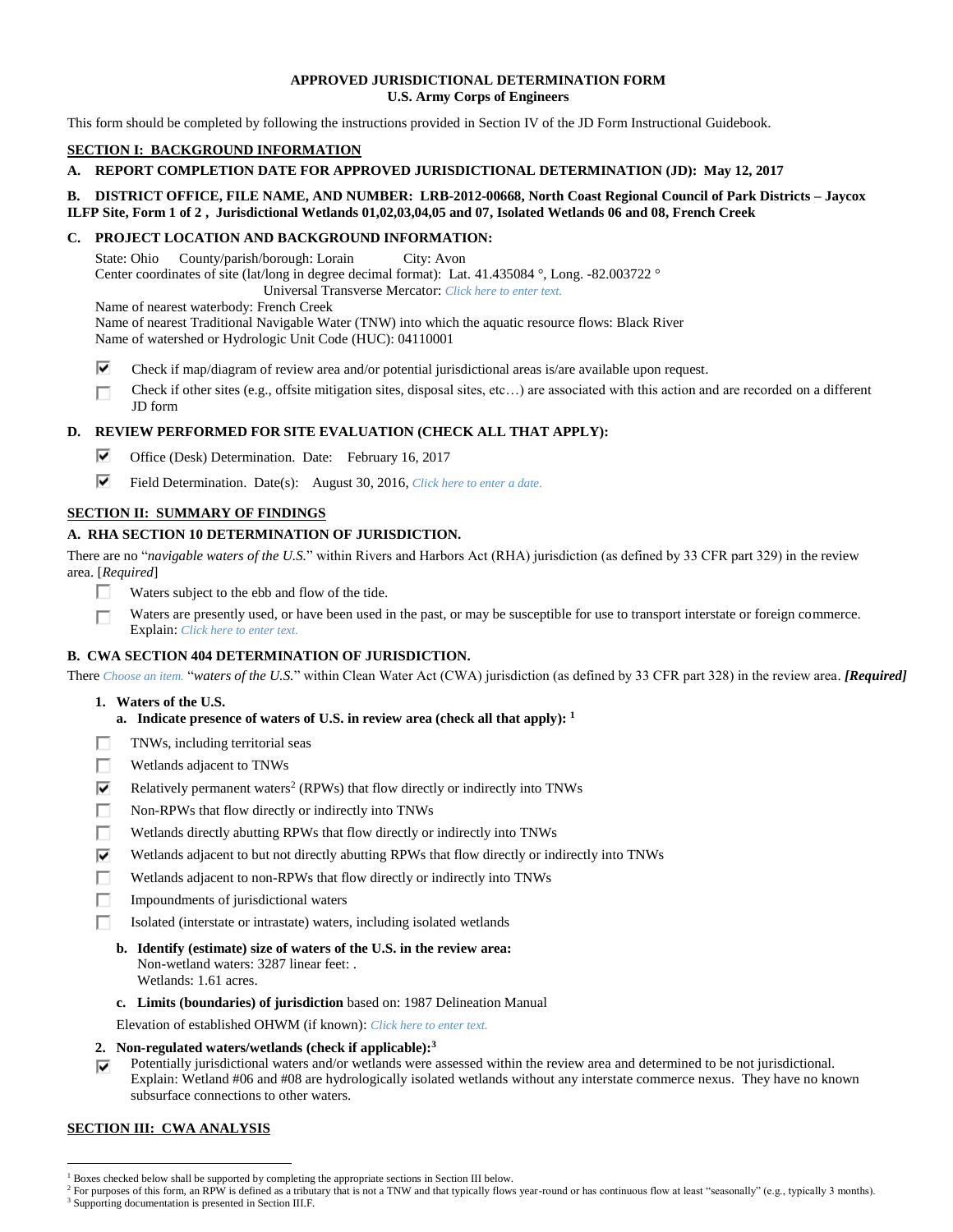## **APPROVED JURISDICTIONAL DETERMINATION FORM U.S. Army Corps of Engineers**

This form should be completed by following the instructions provided in Section IV of the JD Form Instructional Guidebook.

# **SECTION I: BACKGROUND INFORMATION**

**A. REPORT COMPLETION DATE FOR APPROVED JURISDICTIONAL DETERMINATION (JD): May 12, 2017**

## **B. DISTRICT OFFICE, FILE NAME, AND NUMBER: LRB-2012-00668, North Coast Regional Council of Park Districts – Jaycox ILFP Site, Form 1 of 2 , Jurisdictional Wetlands 01,02,03,04,05 and 07, Isolated Wetlands 06 and 08, French Creek**

# **C. PROJECT LOCATION AND BACKGROUND INFORMATION:**

State: Ohio County/parish/borough: Lorain City: Avon Center coordinates of site (lat/long in degree decimal format): Lat. 41.435084 °, Long. -82.003722 ° Universal Transverse Mercator: *Click here to enter text.*

Name of nearest waterbody: French Creek

Name of nearest Traditional Navigable Water (TNW) into which the aquatic resource flows: Black River Name of watershed or Hydrologic Unit Code (HUC): 04110001

- ⊽ Check if map/diagram of review area and/or potential jurisdictional areas is/are available upon request.
- Check if other sites (e.g., offsite mitigation sites, disposal sites, etc…) are associated with this action and are recorded on a different П JD form

# **D. REVIEW PERFORMED FOR SITE EVALUATION (CHECK ALL THAT APPLY):**

- ⊽ Office (Desk) Determination. Date: February 16, 2017
- ⊽ Field Determination. Date(s): August 30, 2016, *Click here to enter a date.*

# **SECTION II: SUMMARY OF FINDINGS**

# **A. RHA SECTION 10 DETERMINATION OF JURISDICTION.**

There are no "*navigable waters of the U.S.*" within Rivers and Harbors Act (RHA) jurisdiction (as defined by 33 CFR part 329) in the review area. [*Required*]

- П. Waters subject to the ebb and flow of the tide.
- Waters are presently used, or have been used in the past, or may be susceptible for use to transport interstate or foreign commerce. п Explain: *Click here to enter text.*

# **B. CWA SECTION 404 DETERMINATION OF JURISDICTION.**

There *Choose an item.* "*waters of the U.S.*" within Clean Water Act (CWA) jurisdiction (as defined by 33 CFR part 328) in the review area. *[Required]*

- **1. Waters of the U.S.**
	- **a. Indicate presence of waters of U.S. in review area (check all that apply): 1**
- TNWs, including territorial seas п
- П. Wetlands adjacent to TNWs
- ⊽ Relatively permanent waters<sup>2</sup> (RPWs) that flow directly or indirectly into TNWs
- П. Non-RPWs that flow directly or indirectly into TNWs
- Wetlands directly abutting RPWs that flow directly or indirectly into TNWs п.
- ⊽ Wetlands adjacent to but not directly abutting RPWs that flow directly or indirectly into TNWs
- п Wetlands adjacent to non-RPWs that flow directly or indirectly into TNWs
- Impoundments of jurisdictional waters П.
- п Isolated (interstate or intrastate) waters, including isolated wetlands
	- **b. Identify (estimate) size of waters of the U.S. in the review area:** Non-wetland waters: 3287 linear feet: . Wetlands: 1.61 acres.
	- **c. Limits (boundaries) of jurisdiction** based on: 1987 Delineation Manual
	- Elevation of established OHWM (if known): *Click here to enter text.*
- **2. Non-regulated waters/wetlands (check if applicable): 3**
- Potentially jurisdictional waters and/or wetlands were assessed within the review area and determined to be not jurisdictional. ⊽ Explain: Wetland #06 and #08 are hydrologically isolated wetlands without any interstate commerce nexus. They have no known subsurface connections to other waters.

# **SECTION III: CWA ANALYSIS**

<sup>&</sup>lt;sup>1</sup> Boxes checked below shall be supported by completing the appropriate sections in Section III below.

<sup>&</sup>lt;sup>2</sup> For purposes of this form, an RPW is defined as a tributary that is not a TNW and that typically flows year-round or has continuous flow at least "seasonally" (e.g., typically 3 months). <sup>3</sup> Supporting documentation is presented in Section III.F.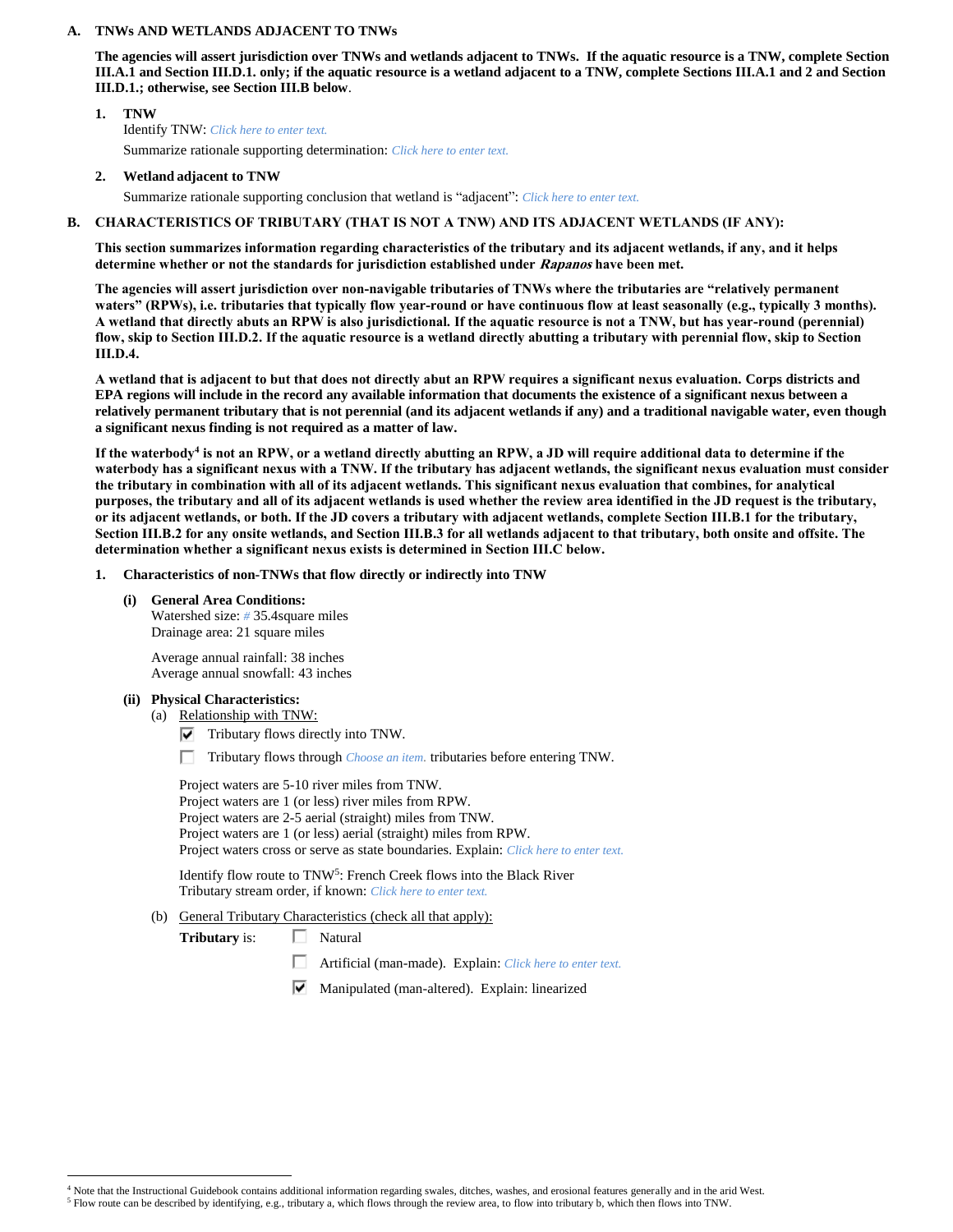#### **A. TNWs AND WETLANDS ADJACENT TO TNWs**

**The agencies will assert jurisdiction over TNWs and wetlands adjacent to TNWs. If the aquatic resource is a TNW, complete Section III.A.1 and Section III.D.1. only; if the aquatic resource is a wetland adjacent to a TNW, complete Sections III.A.1 and 2 and Section III.D.1.; otherwise, see Section III.B below**.

## **1. TNW**  Identify TNW: *Click here to enter text.* Summarize rationale supporting determination: *Click here to enter text.*

**2. Wetland adjacent to TNW**

Summarize rationale supporting conclusion that wetland is "adjacent": *Click here to enter text.*

# **B. CHARACTERISTICS OF TRIBUTARY (THAT IS NOT A TNW) AND ITS ADJACENT WETLANDS (IF ANY):**

**This section summarizes information regarding characteristics of the tributary and its adjacent wetlands, if any, and it helps determine whether or not the standards for jurisdiction established under Rapanos have been met.** 

**The agencies will assert jurisdiction over non-navigable tributaries of TNWs where the tributaries are "relatively permanent waters" (RPWs), i.e. tributaries that typically flow year-round or have continuous flow at least seasonally (e.g., typically 3 months). A wetland that directly abuts an RPW is also jurisdictional. If the aquatic resource is not a TNW, but has year-round (perennial) flow, skip to Section III.D.2. If the aquatic resource is a wetland directly abutting a tributary with perennial flow, skip to Section III.D.4.**

**A wetland that is adjacent to but that does not directly abut an RPW requires a significant nexus evaluation. Corps districts and EPA regions will include in the record any available information that documents the existence of a significant nexus between a relatively permanent tributary that is not perennial (and its adjacent wetlands if any) and a traditional navigable water, even though a significant nexus finding is not required as a matter of law.**

**If the waterbody<sup>4</sup> is not an RPW, or a wetland directly abutting an RPW, a JD will require additional data to determine if the waterbody has a significant nexus with a TNW. If the tributary has adjacent wetlands, the significant nexus evaluation must consider the tributary in combination with all of its adjacent wetlands. This significant nexus evaluation that combines, for analytical purposes, the tributary and all of its adjacent wetlands is used whether the review area identified in the JD request is the tributary, or its adjacent wetlands, or both. If the JD covers a tributary with adjacent wetlands, complete Section III.B.1 for the tributary, Section III.B.2 for any onsite wetlands, and Section III.B.3 for all wetlands adjacent to that tributary, both onsite and offsite. The determination whether a significant nexus exists is determined in Section III.C below.**

#### **1. Characteristics of non-TNWs that flow directly or indirectly into TNW**

**(i) General Area Conditions:** Watershed size: *#* 35.4square miles

Drainage area: 21 square miles

Average annual rainfall: 38 inches Average annual snowfall: 43 inches

#### **(ii) Physical Characteristics:**

 $\overline{a}$ 

- (a) Relationship with TNW:
	- $\nabla$  Tributary flows directly into TNW.
	- П. Tributary flows through *Choose an item.* tributaries before entering TNW.

Project waters are 5-10 river miles from TNW. Project waters are 1 (or less) river miles from RPW. Project waters are 2-5 aerial (straight) miles from TNW. Project waters are 1 (or less) aerial (straight) miles from RPW. Project waters cross or serve as state boundaries. Explain: *Click here to enter text.*

Identify flow route to TNW<sup>5</sup>: French Creek flows into the Black River Tributary stream order, if known: *Click here to enter text.*

(b) General Tributary Characteristics (check all that apply):

**Tributary** is:  $\Box$  Natural

- п. Artificial (man-made). Explain: *Click here to enter text.*
- Manipulated (man-altered). Explain: linearized

<sup>&</sup>lt;sup>4</sup> Note that the Instructional Guidebook contains additional information regarding swales, ditches, washes, and erosional features generally and in the arid West.

<sup>5</sup> Flow route can be described by identifying, e.g., tributary a, which flows through the review area, to flow into tributary b, which then flows into TNW.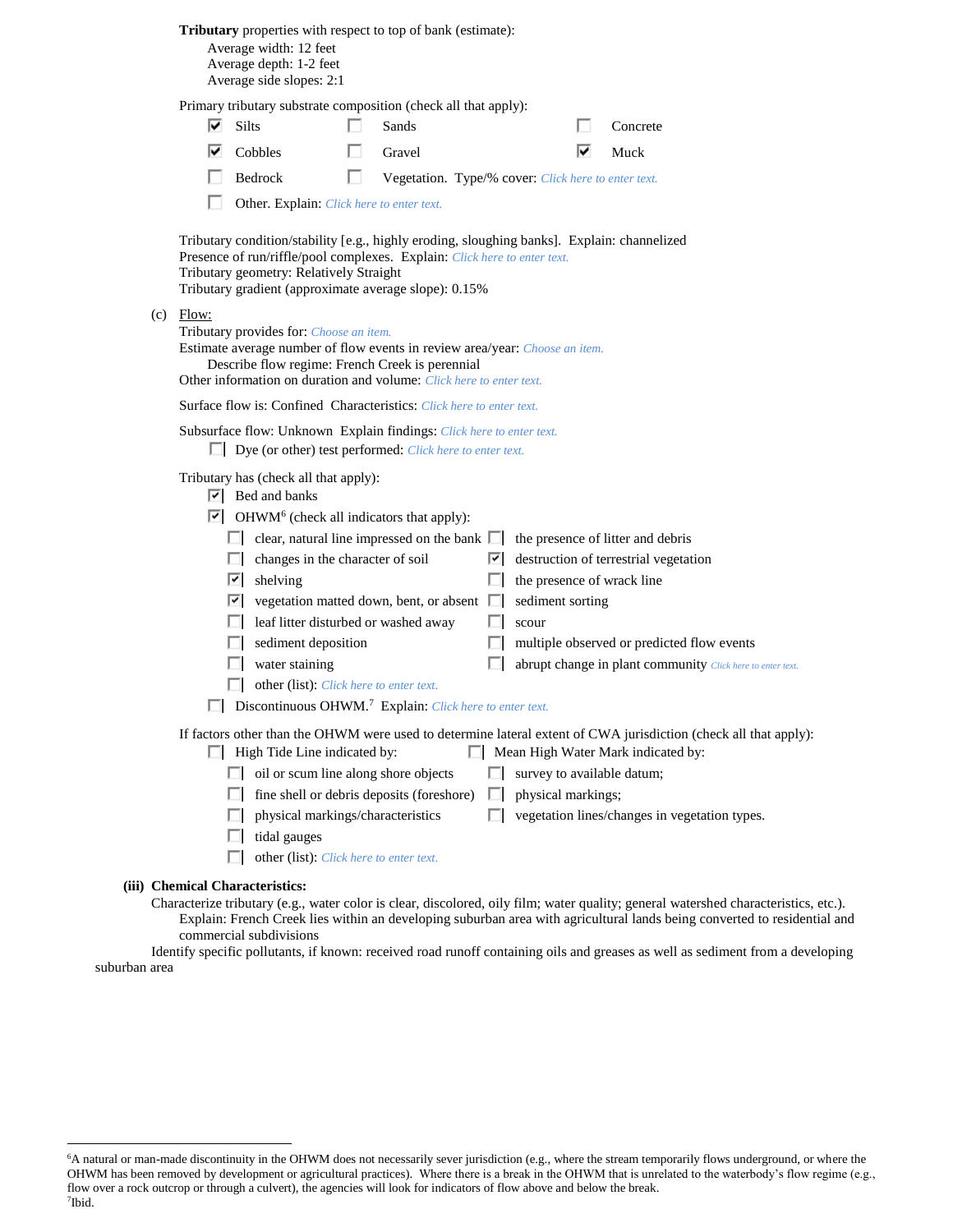|  |  | Tributary properties with respect to top of bank (estimate): |
|--|--|--------------------------------------------------------------|
|--|--|--------------------------------------------------------------|

Average width: 12 feet Average depth: 1-2 feet Average side slopes: 2:1

 $(c)$ 

Primary tributary substrate composition (check all that apply):

|       | Primary tributary substrate composition (check all that apply):                                                                                                                                                                                                                                                                                                                                                                                                                                                                                                                                                                                                                             |                                                     |   |                                                                |   |                                                                                                                                                                                                         |
|-------|---------------------------------------------------------------------------------------------------------------------------------------------------------------------------------------------------------------------------------------------------------------------------------------------------------------------------------------------------------------------------------------------------------------------------------------------------------------------------------------------------------------------------------------------------------------------------------------------------------------------------------------------------------------------------------------------|-----------------------------------------------------|---|----------------------------------------------------------------|---|---------------------------------------------------------------------------------------------------------------------------------------------------------------------------------------------------------|
| ⊽     | <b>Silts</b>                                                                                                                                                                                                                                                                                                                                                                                                                                                                                                                                                                                                                                                                                | Sands                                               |   |                                                                |   | Concrete                                                                                                                                                                                                |
| ⊮     | Cobbles                                                                                                                                                                                                                                                                                                                                                                                                                                                                                                                                                                                                                                                                                     | Gravel                                              |   |                                                                | M | Muck                                                                                                                                                                                                    |
|       | Bedrock                                                                                                                                                                                                                                                                                                                                                                                                                                                                                                                                                                                                                                                                                     | Vegetation. Type/% cover: Click here to enter text. |   |                                                                |   |                                                                                                                                                                                                         |
|       | Other. Explain: Click here to enter text.                                                                                                                                                                                                                                                                                                                                                                                                                                                                                                                                                                                                                                                   |                                                     |   |                                                                |   |                                                                                                                                                                                                         |
|       | Tributary condition/stability [e.g., highly eroding, sloughing banks]. Explain: channelized<br>Presence of run/riffle/pool complexes. Explain: Click here to enter text.<br>Tributary geometry: Relatively Straight<br>Tributary gradient (approximate average slope): 0.15%                                                                                                                                                                                                                                                                                                                                                                                                                |                                                     |   |                                                                |   |                                                                                                                                                                                                         |
| Flow: | Tributary provides for: Choose an item.<br>Estimate average number of flow events in review area/year: Choose an item.<br>Describe flow regime: French Creek is perennial<br>Other information on duration and volume: Click here to enter text.                                                                                                                                                                                                                                                                                                                                                                                                                                            |                                                     |   |                                                                |   |                                                                                                                                                                                                         |
|       | Surface flow is: Confined Characteristics: Click here to enter text.                                                                                                                                                                                                                                                                                                                                                                                                                                                                                                                                                                                                                        |                                                     |   |                                                                |   |                                                                                                                                                                                                         |
|       | Subsurface flow: Unknown Explain findings: Click here to enter text.<br>$\Box$ Dye (or other) test performed: <i>Click here to enter text.</i>                                                                                                                                                                                                                                                                                                                                                                                                                                                                                                                                              |                                                     |   |                                                                |   |                                                                                                                                                                                                         |
|       | Tributary has (check all that apply):<br>$\boxed{\mathbf{v}}$ Bed and banks<br>$\boxed{\checkmark}$ OHWM <sup>6</sup> (check all indicators that apply):<br>$\Box$ clear, natural line impressed on the bank $\Box$ the presence of litter and debris<br>$\Box$ changes in the character of soil<br>$\vert \overline{\mathbf{C}} \vert$ shelving<br>$\boxed{\bullet}$ vegetation matted down, bent, or absent $\boxed{\quad}$ sediment sorting<br>$\Box$ leaf litter disturbed or washed away<br>$\Box$ sediment deposition<br>$\Box$ water staining<br>$\Box$ other (list): <i>Click here to enter text.</i><br>$\Box$ Discontinuous OHWM. <sup>7</sup> Explain: Click here to enter text. |                                                     |   | $\Box$ the presence of wrack line<br>$\Box$ scour              |   | $\vert \triangledown \vert$ destruction of terrestrial vegetation<br>$\Box$ multiple observed or predicted flow events<br>abrupt change in plant community Click here to enter text.                    |
|       | $\Box$ High Tide Line indicated by:<br>$\Box$ oil or scum line along shore objects<br>$\Box$ fine shell or debris deposits (foreshore)<br>$\Box$ physical markings/characteristics<br>$\Box$ tidal gauges<br>other (list): Click here to enter text.                                                                                                                                                                                                                                                                                                                                                                                                                                        |                                                     | П | $\Box$ survey to available datum;<br>$\Box$ physical markings; |   | If factors other than the OHWM were used to determine lateral extent of CWA jurisdiction (check all that apply):<br>Mean High Water Mark indicated by:<br>vegetation lines/changes in vegetation types. |

#### **(iii) Chemical Characteristics:**

 $\overline{a}$ 

Characterize tributary (e.g., water color is clear, discolored, oily film; water quality; general watershed characteristics, etc.). Explain: French Creek lies within an developing suburban area with agricultural lands being converted to residential and commercial subdivisions

Identify specific pollutants, if known: received road runoff containing oils and greases as well as sediment from a developing suburban area

<sup>6</sup>A natural or man-made discontinuity in the OHWM does not necessarily sever jurisdiction (e.g., where the stream temporarily flows underground, or where the OHWM has been removed by development or agricultural practices). Where there is a break in the OHWM that is unrelated to the waterbody's flow regime (e.g., flow over a rock outcrop or through a culvert), the agencies will look for indicators of flow above and below the break. 7 Ibid.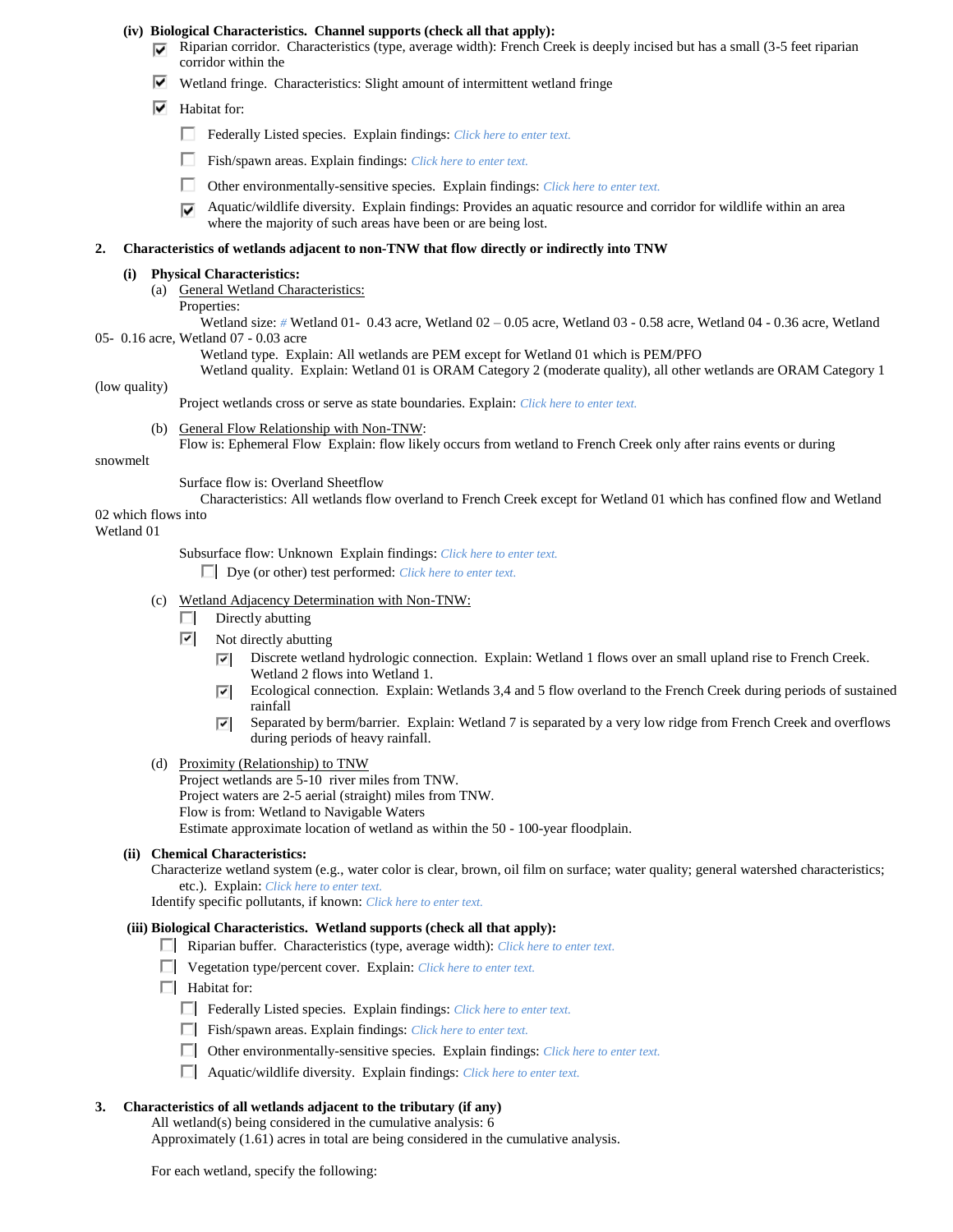#### **(iv) Biological Characteristics. Channel supports (check all that apply):**

- $\nabla$  Riparian corridor. Characteristics (type, average width): French Creek is deeply incised but has a small (3-5 feet riparian corridor within the
- $\blacktriangledown$  Wetland fringe. Characteristics: Slight amount of intermittent wetland fringe
- $\boxed{\blacktriangledown}$  Habitat for:
	- Federally Listed species. Explain findings: *Click here to enter text*.
	- П. Fish/spawn areas. Explain findings: *Click here to enter text.*
	- п. Other environmentally-sensitive species. Explain findings: *Click here to enter text.*
	- Aquatic/wildlife diversity. Explain findings: Provides an aquatic resource and corridor for wildlife within an area ⊽ where the majority of such areas have been or are being lost.

#### **2. Characteristics of wetlands adjacent to non-TNW that flow directly or indirectly into TNW**

#### **(i) Physical Characteristics:**

- (a) General Wetland Characteristics:
	- Properties:

Wetland size: *#* Wetland 01- 0.43 acre, Wetland 02 – 0.05 acre, Wetland 03 - 0.58 acre, Wetland 04 - 0.36 acre, Wetland 05- 0.16 acre, Wetland 07 - 0.03 acre

Wetland type. Explain: All wetlands are PEM except for Wetland 01 which is PEM/PFO

Wetland quality. Explain: Wetland 01 is ORAM Category 2 (moderate quality), all other wetlands are ORAM Category 1

#### (low quality)

Project wetlands cross or serve as state boundaries. Explain: *Click here to enter text.*

(b) General Flow Relationship with Non-TNW: Flow is: Ephemeral Flow Explain: flow likely occurs from wetland to French Creek only after rains events or during

#### snowmelt

#### Surface flow is: Overland Sheetflow

Characteristics: All wetlands flow overland to French Creek except for Wetland 01 which has confined flow and Wetland 02 which flows into

#### Wetland 01

Subsurface flow: Unknown Explain findings: *Click here to enter text.*

Dye (or other) test performed: *Click here to enter text.*

- (c) Wetland Adjacency Determination with Non-TNW:
	- $\Box$  Directly abutting
	- $\boxed{\triangledown}$  Not directly abutting
		- Discrete wetland hydrologic connection. Explain: Wetland 1 flows over an small upland rise to French Creek. ⊡ Wetland 2 flows into Wetland 1.
		- Ecological connection. Explain: Wetlands 3,4 and 5 flow overland to the French Creek during periods of sustained ⊡ rainfall
		- Separated by berm/barrier. Explain: Wetland 7 is separated by a very low ridge from French Creek and overflows ⊡ during periods of heavy rainfall.
- (d) Proximity (Relationship) to TNW

Project wetlands are 5-10 river miles from TNW. Project waters are 2-5 aerial (straight) miles from TNW. Flow is from: Wetland to Navigable Waters Estimate approximate location of wetland as within the 50 - 100-year floodplain.

#### **(ii) Chemical Characteristics:**

Characterize wetland system (e.g., water color is clear, brown, oil film on surface; water quality; general watershed characteristics; etc.). Explain: *Click here to enter text.*

Identify specific pollutants, if known: *Click here to enter text.*

#### **(iii) Biological Characteristics. Wetland supports (check all that apply):**

- Riparian buffer. Characteristics (type, average width): *Click here to enter text.*
- Vegetation type/percent cover. Explain: *Click here to enter text.*
- $\Box$  Habitat for:
	- Federally Listed species. Explain findings: *Click here to enter text.*
	- Fish/spawn areas. Explain findings: *Click here to enter text.*
	- Other environmentally-sensitive species. Explain findings: *Click here to enter text.*
	- Aquatic/wildlife diversity. Explain findings: *Click here to enter text.*

# **3. Characteristics of all wetlands adjacent to the tributary (if any)**

All wetland(s) being considered in the cumulative analysis: 6

Approximately (1.61) acres in total are being considered in the cumulative analysis.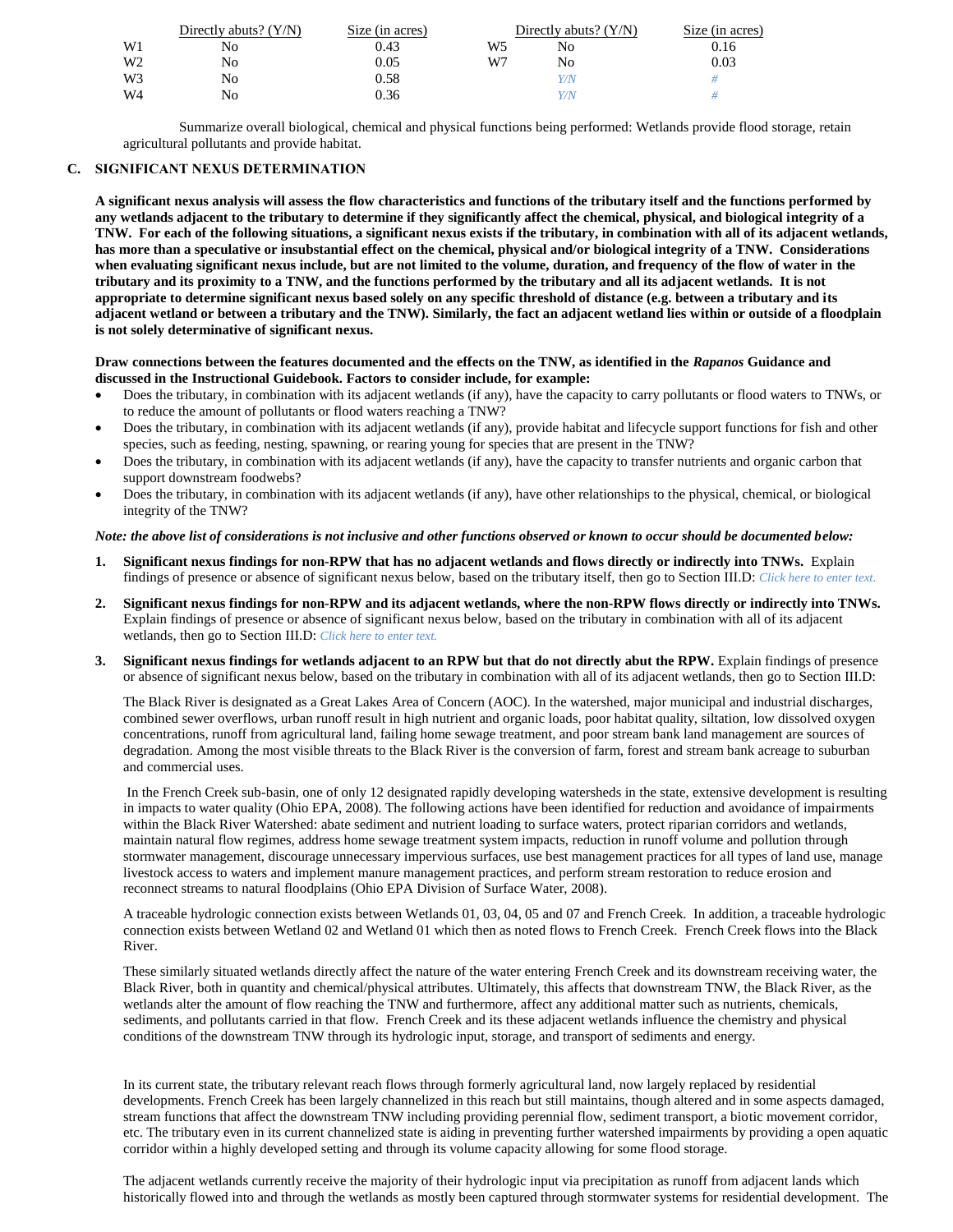|    | Directly abuts? $(Y/N)$ | Size (in acres) |    | Directly abuts? $(Y/N)$ | Size (in acres) |
|----|-------------------------|-----------------|----|-------------------------|-----------------|
| W1 | No                      | 0.43            | W5 | No                      | 0.16            |
| W2 | No                      | 0.05            | W7 | No                      | 0.03            |
| W3 | No                      | 0.58            |    | Y/N                     |                 |
| W4 | No                      | 0.36            |    | Y/N                     |                 |

Summarize overall biological, chemical and physical functions being performed: Wetlands provide flood storage, retain agricultural pollutants and provide habitat.

#### **C. SIGNIFICANT NEXUS DETERMINATION**

**A significant nexus analysis will assess the flow characteristics and functions of the tributary itself and the functions performed by any wetlands adjacent to the tributary to determine if they significantly affect the chemical, physical, and biological integrity of a TNW. For each of the following situations, a significant nexus exists if the tributary, in combination with all of its adjacent wetlands, has more than a speculative or insubstantial effect on the chemical, physical and/or biological integrity of a TNW. Considerations when evaluating significant nexus include, but are not limited to the volume, duration, and frequency of the flow of water in the tributary and its proximity to a TNW, and the functions performed by the tributary and all its adjacent wetlands. It is not appropriate to determine significant nexus based solely on any specific threshold of distance (e.g. between a tributary and its adjacent wetland or between a tributary and the TNW). Similarly, the fact an adjacent wetland lies within or outside of a floodplain is not solely determinative of significant nexus.** 

#### **Draw connections between the features documented and the effects on the TNW, as identified in the** *Rapanos* **Guidance and discussed in the Instructional Guidebook. Factors to consider include, for example:**

- Does the tributary, in combination with its adjacent wetlands (if any), have the capacity to carry pollutants or flood waters to TNWs, or to reduce the amount of pollutants or flood waters reaching a TNW?
- Does the tributary, in combination with its adjacent wetlands (if any), provide habitat and lifecycle support functions for fish and other species, such as feeding, nesting, spawning, or rearing young for species that are present in the TNW?
- Does the tributary, in combination with its adjacent wetlands (if any), have the capacity to transfer nutrients and organic carbon that support downstream foodwebs?
- Does the tributary, in combination with its adjacent wetlands (if any), have other relationships to the physical, chemical, or biological integrity of the TNW?

#### *Note: the above list of considerations is not inclusive and other functions observed or known to occur should be documented below:*

- **1. Significant nexus findings for non-RPW that has no adjacent wetlands and flows directly or indirectly into TNWs.** Explain findings of presence or absence of significant nexus below, based on the tributary itself, then go to Section III.D: *Click here to enter text.*
- **2. Significant nexus findings for non-RPW and its adjacent wetlands, where the non-RPW flows directly or indirectly into TNWs.**  Explain findings of presence or absence of significant nexus below, based on the tributary in combination with all of its adjacent wetlands, then go to Section III.D: *Click here to enter text.*
- **3. Significant nexus findings for wetlands adjacent to an RPW but that do not directly abut the RPW.** Explain findings of presence or absence of significant nexus below, based on the tributary in combination with all of its adjacent wetlands, then go to Section III.D:

The Black River is designated as a Great Lakes Area of Concern (AOC). In the watershed, major municipal and industrial discharges, combined sewer overflows, urban runoff result in high nutrient and organic loads, poor habitat quality, siltation, low dissolved oxygen concentrations, runoff from agricultural land, failing home sewage treatment, and poor stream bank land management are sources of degradation. Among the most visible threats to the Black River is the conversion of farm, forest and stream bank acreage to suburban and commercial uses.

In the French Creek sub-basin, one of only 12 designated rapidly developing watersheds in the state, extensive development is resulting in impacts to water quality (Ohio EPA, 2008). The following actions have been identified for reduction and avoidance of impairments within the Black River Watershed: abate sediment and nutrient loading to surface waters, protect riparian corridors and wetlands, maintain natural flow regimes, address home sewage treatment system impacts, reduction in runoff volume and pollution through stormwater management, discourage unnecessary impervious surfaces, use best management practices for all types of land use, manage livestock access to waters and implement manure management practices, and perform stream restoration to reduce erosion and reconnect streams to natural floodplains (Ohio EPA Division of Surface Water, 2008).

A traceable hydrologic connection exists between Wetlands 01, 03, 04, 05 and 07 and French Creek. In addition, a traceable hydrologic connection exists between Wetland 02 and Wetland 01 which then as noted flows to French Creek. French Creek flows into the Black River.

These similarly situated wetlands directly affect the nature of the water entering French Creek and its downstream receiving water, the Black River, both in quantity and chemical/physical attributes. Ultimately, this affects that downstream TNW, the Black River, as the wetlands alter the amount of flow reaching the TNW and furthermore, affect any additional matter such as nutrients, chemicals, sediments, and pollutants carried in that flow. French Creek and its these adjacent wetlands influence the chemistry and physical conditions of the downstream TNW through its hydrologic input, storage, and transport of sediments and energy.

In its current state, the tributary relevant reach flows through formerly agricultural land, now largely replaced by residential developments. French Creek has been largely channelized in this reach but still maintains, though altered and in some aspects damaged, stream functions that affect the downstream TNW including providing perennial flow, sediment transport, a biotic movement corridor, etc. The tributary even in its current channelized state is aiding in preventing further watershed impairments by providing a open aquatic corridor within a highly developed setting and through its volume capacity allowing for some flood storage.

The adjacent wetlands currently receive the majority of their hydrologic input via precipitation as runoff from adjacent lands which historically flowed into and through the wetlands as mostly been captured through stormwater systems for residential development. The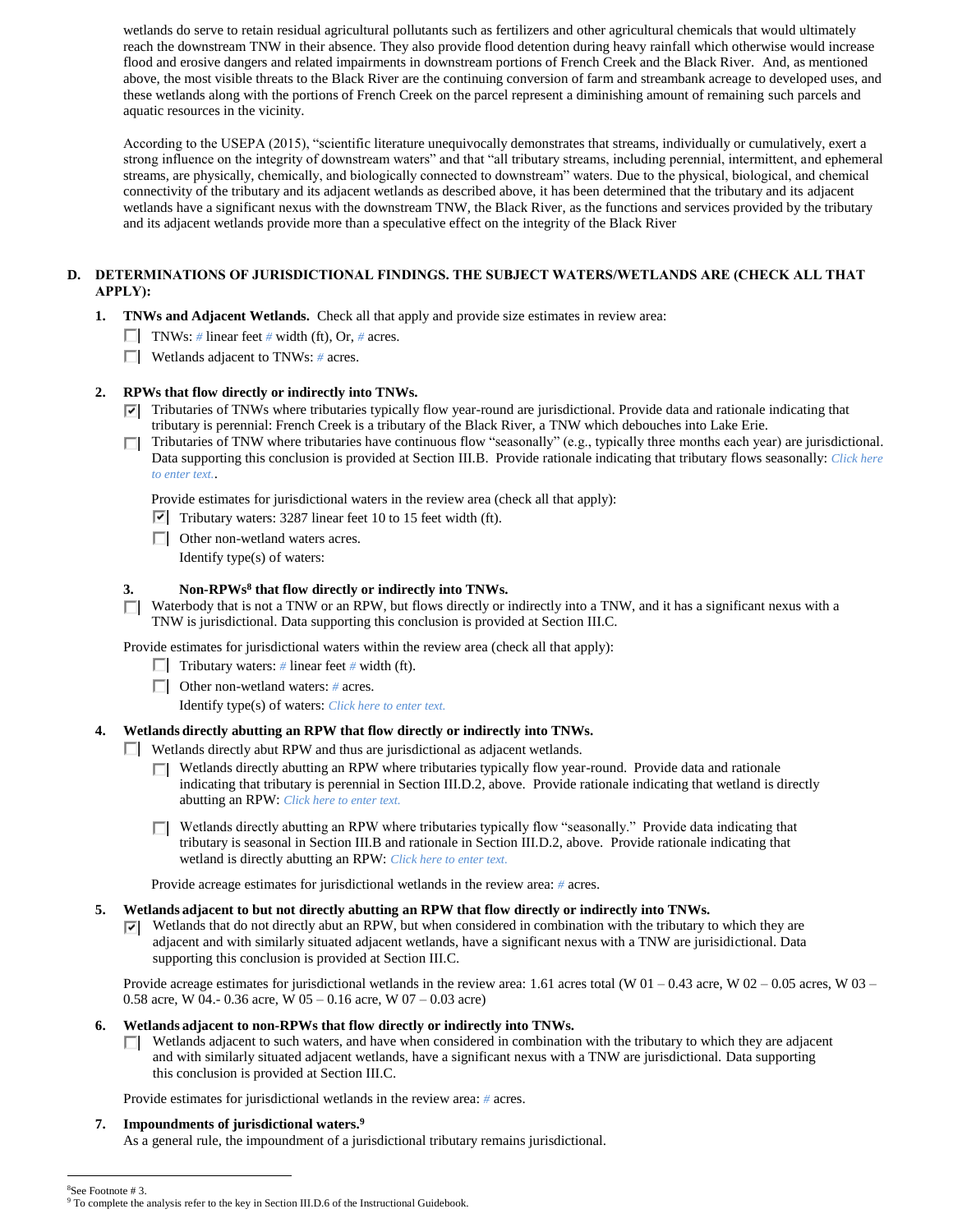wetlands do serve to retain residual agricultural pollutants such as fertilizers and other agricultural chemicals that would ultimately reach the downstream TNW in their absence. They also provide flood detention during heavy rainfall which otherwise would increase flood and erosive dangers and related impairments in downstream portions of French Creek and the Black River. And, as mentioned above, the most visible threats to the Black River are the continuing conversion of farm and streambank acreage to developed uses, and these wetlands along with the portions of French Creek on the parcel represent a diminishing amount of remaining such parcels and aquatic resources in the vicinity.

According to the USEPA (2015), "scientific literature unequivocally demonstrates that streams, individually or cumulatively, exert a strong influence on the integrity of downstream waters" and that "all tributary streams, including perennial, intermittent, and ephemeral streams, are physically, chemically, and biologically connected to downstream" waters. Due to the physical, biological, and chemical connectivity of the tributary and its adjacent wetlands as described above, it has been determined that the tributary and its adjacent wetlands have a significant nexus with the downstream TNW, the Black River, as the functions and services provided by the tributary and its adjacent wetlands provide more than a speculative effect on the integrity of the Black River

# **D. DETERMINATIONS OF JURISDICTIONAL FINDINGS. THE SUBJECT WATERS/WETLANDS ARE (CHECK ALL THAT APPLY):**

- **1. TNWs and Adjacent Wetlands.** Check all that apply and provide size estimates in review area:
	- TNWs: *#* linear feet *#* width (ft), Or, *#* acres.
	- Wetlands adjacent to TNWs: *#* acres.

## **2. RPWs that flow directly or indirectly into TNWs.**

- $\nabla$  Tributaries of TNWs where tributaries typically flow year-round are jurisdictional. Provide data and rationale indicating that tributary is perennial: French Creek is a tributary of the Black River, a TNW which debouches into Lake Erie.
- Tributaries of TNW where tributaries have continuous flow "seasonally" (e.g., typically three months each year) are jurisdictional. Data supporting this conclusion is provided at Section III.B. Provide rationale indicating that tributary flows seasonally: *Click here to enter text.*.

Provide estimates for jurisdictional waters in the review area (check all that apply):

- $\triangledown$  Tributary waters: 3287 linear feet 10 to 15 feet width (ft).
- □ Other non-wetland waters acres. Identify type(s) of waters:

#### **3. Non-RPWs<sup>8</sup> that flow directly or indirectly into TNWs.**

 $\Box$  Waterbody that is not a TNW or an RPW, but flows directly or indirectly into a TNW, and it has a significant nexus with a TNW is jurisdictional. Data supporting this conclusion is provided at Section III.C.

Provide estimates for jurisdictional waters within the review area (check all that apply):

- **Tributary waters:** # linear feet # width (ft).
- Other non-wetland waters: *#* acres.

Identify type(s) of waters: *Click here to enter text.*

#### **4. Wetlands directly abutting an RPW that flow directly or indirectly into TNWs.**

- Wetlands directly abut RPW and thus are jurisdictional as adjacent wetlands.
	- Wetlands directly abutting an RPW where tributaries typically flow year-round. Provide data and rationale П. indicating that tributary is perennial in Section III.D.2, above. Provide rationale indicating that wetland is directly abutting an RPW: *Click here to enter text.*
	- **Netlands directly abutting an RPW where tributaries typically flow "seasonally."** Provide data indicating that tributary is seasonal in Section III.B and rationale in Section III.D.2, above. Provide rationale indicating that wetland is directly abutting an RPW: *Click here to enter text.*

Provide acreage estimates for jurisdictional wetlands in the review area: *#* acres.

## **5. Wetlands adjacent to but not directly abutting an RPW that flow directly or indirectly into TNWs.**

 $\triangledown$  Wetlands that do not directly abut an RPW, but when considered in combination with the tributary to which they are adjacent and with similarly situated adjacent wetlands, have a significant nexus with a TNW are jurisidictional. Data supporting this conclusion is provided at Section III.C.

Provide acreage estimates for jurisdictional wetlands in the review area: 1.61 acres total (W 01 – 0.43 acre, W 02 – 0.05 acres, W 03 – 0.58 acre, W 04.- 0.36 acre, W 05 – 0.16 acre, W 07 – 0.03 acre)

## **6. Wetlands adjacent to non-RPWs that flow directly or indirectly into TNWs.**

 $\Box$  Wetlands adjacent to such waters, and have when considered in combination with the tributary to which they are adjacent and with similarly situated adjacent wetlands, have a significant nexus with a TNW are jurisdictional. Data supporting this conclusion is provided at Section III.C.

Provide estimates for jurisdictional wetlands in the review area: *#* acres.

#### **7. Impoundments of jurisdictional waters. 9**

 $\overline{a}$ 

As a general rule, the impoundment of a jurisdictional tributary remains jurisdictional.

#### <sup>8</sup>See Footnote # 3. <sup>9</sup> To complete the analysis refer to the key in Section III.D.6 of the Instructional Guidebook.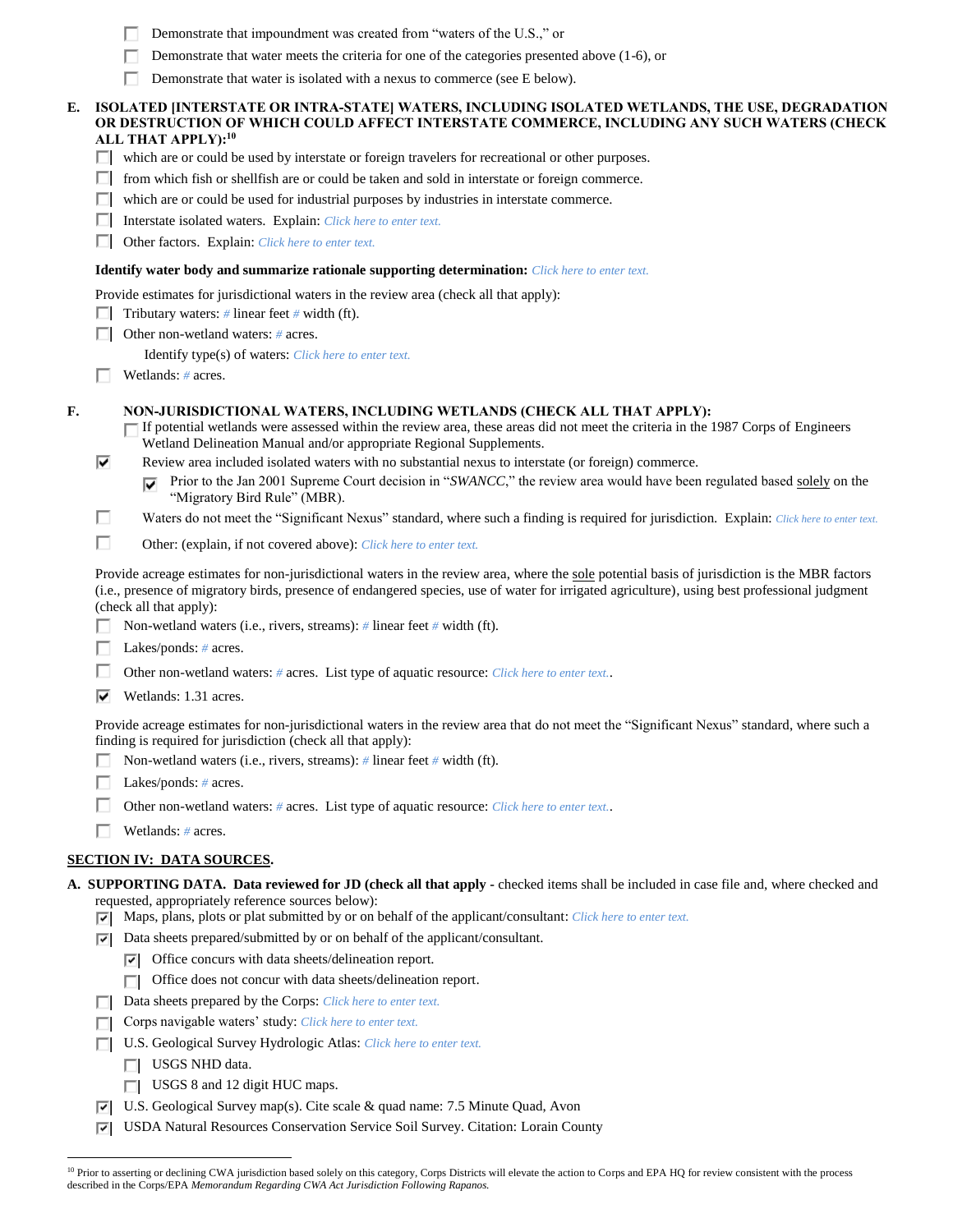|    | Demonstrate that water meets the criteria for one of the categories presented above (1-6), or                                                                                                                                                                                                                                                                                                |  |
|----|----------------------------------------------------------------------------------------------------------------------------------------------------------------------------------------------------------------------------------------------------------------------------------------------------------------------------------------------------------------------------------------------|--|
|    | Demonstrate that water is isolated with a nexus to commerce (see E below).                                                                                                                                                                                                                                                                                                                   |  |
| E. | ISOLATED [INTERSTATE OR INTRA-STATE] WATERS, INCLUDING ISOLATED WETLANDS, THE USE, DEGRADATION<br>OR DESTRUCTION OF WHICH COULD AFFECT INTERSTATE COMMERCE, INCLUDING ANY SUCH WATERS (CHECK                                                                                                                                                                                                 |  |
|    | ALL THAT APPLY): <sup>10</sup>                                                                                                                                                                                                                                                                                                                                                               |  |
|    | which are or could be used by interstate or foreign travelers for recreational or other purposes.                                                                                                                                                                                                                                                                                            |  |
|    | from which fish or shellfish are or could be taken and sold in interstate or foreign commerce.<br>Ш                                                                                                                                                                                                                                                                                          |  |
|    | which are or could be used for industrial purposes by industries in interstate commerce.<br>ш                                                                                                                                                                                                                                                                                                |  |
|    | Interstate isolated waters. Explain: Click here to enter text.                                                                                                                                                                                                                                                                                                                               |  |
|    | Other factors. Explain: Click here to enter text.                                                                                                                                                                                                                                                                                                                                            |  |
|    | <b>Identify water body and summarize rationale supporting determination:</b> Click here to enter text.                                                                                                                                                                                                                                                                                       |  |
|    | Provide estimates for jurisdictional waters in the review area (check all that apply):                                                                                                                                                                                                                                                                                                       |  |
|    | Tributary waters: $\#$ linear feet $\#$ width (ft).                                                                                                                                                                                                                                                                                                                                          |  |
|    | Other non-wetland waters: # acres.                                                                                                                                                                                                                                                                                                                                                           |  |
|    | <b>Identify type(s) of waters:</b> Click here to enter text.                                                                                                                                                                                                                                                                                                                                 |  |
|    | Wetlands: $#$ acres.                                                                                                                                                                                                                                                                                                                                                                         |  |
| F. | NON-JURISDICTIONAL WATERS, INCLUDING WETLANDS (CHECK ALL THAT APPLY):<br>If potential wetlands were assessed within the review area, these areas did not meet the criteria in the 1987 Corps of Engineers<br>Wetland Delineation Manual and/or appropriate Regional Supplements.<br>⊽<br>Review area included isolated waters with no substantial nexus to interstate (or foreign) commerce. |  |
|    | Prior to the Jan 2001 Supreme Court decision in "SWANCC," the review area would have been regulated based solely on the<br>"Migratory Bird Rule" (MBR).                                                                                                                                                                                                                                      |  |
|    | Waters do not meet the "Significant Nexus" standard, where such a finding is required for jurisdiction. Explain: Click here to enter text.                                                                                                                                                                                                                                                   |  |
|    | ш<br>Other: (explain, if not covered above): Click here to enter text.                                                                                                                                                                                                                                                                                                                       |  |
|    | Provide acreage estimates for non-jurisdictional waters in the review area, where the sole potential basis of jurisdiction is the MBR factors<br>(i.e., presence of migratory birds, presence of endangered species, use of water for irrigated agriculture), using best professional judgment<br>(check all that apply):                                                                    |  |
|    | Non-wetland waters (i.e., rivers, streams): $\#$ linear feet $\#$ width (ft).                                                                                                                                                                                                                                                                                                                |  |
|    | Lakes/ponds: $# \, \text{acres.}$                                                                                                                                                                                                                                                                                                                                                            |  |
|    | Other non-wetland waters: # acres. List type of aquatic resource: Click here to enter text                                                                                                                                                                                                                                                                                                   |  |
|    | Wetlands: 1.31 acres.<br>M                                                                                                                                                                                                                                                                                                                                                                   |  |
|    | Provide acreage estimates for non-jurisdictional waters in the review area that do not meet the "Significant Nexus" standard, where such a<br>finding is required for jurisdiction (check all that apply):<br>Non-wetland waters (i.e., rivers, streams): $\#$ linear feet $\#$ width (ft).                                                                                                  |  |
|    | Lakes/ponds: $# \, \text{acres.}$                                                                                                                                                                                                                                                                                                                                                            |  |
|    | Other non-wetland waters: # acres. List type of aquatic resource: Click here to enter text                                                                                                                                                                                                                                                                                                   |  |
|    |                                                                                                                                                                                                                                                                                                                                                                                              |  |
|    | Wetlands: # acres.                                                                                                                                                                                                                                                                                                                                                                           |  |
|    | <u>SECTION IV: DATA SOURCES.</u>                                                                                                                                                                                                                                                                                                                                                             |  |
|    | A. SUPPORTING DATA. Data reviewed for JD (check all that apply - checked items shall be included in case file and, where checked and<br>requested, appropriately reference sources below):<br>Maps, plans, plots or plat submitted by or on behalf of the applicant/consultant: Click here to enter text.<br>罓                                                                               |  |
|    | Data sheets prepared/submitted by or on behalf of the applicant/consultant.<br>罓                                                                                                                                                                                                                                                                                                             |  |
|    | Office concurs with data sheets/delineation report.<br>罓                                                                                                                                                                                                                                                                                                                                     |  |
|    | Office does not concur with data sheets/delineation report.                                                                                                                                                                                                                                                                                                                                  |  |
|    | Data sheets prepared by the Corps: Click here to enter text.<br>ш                                                                                                                                                                                                                                                                                                                            |  |
|    | Corps navigable waters' study: Click here to enter text.                                                                                                                                                                                                                                                                                                                                     |  |
|    | U.S. Geological Survey Hydrologic Atlas: Click here to enter text.                                                                                                                                                                                                                                                                                                                           |  |
|    | USGS NHD data.<br>П                                                                                                                                                                                                                                                                                                                                                                          |  |
|    | USGS 8 and 12 digit HUC maps.                                                                                                                                                                                                                                                                                                                                                                |  |
|    | U.S. Geological Survey map(s). Cite scale & quad name: 7.5 Minute Quad, Avon<br>⊽                                                                                                                                                                                                                                                                                                            |  |
|    | USDA Natural Resources Conservation Service Soil Survey. Citation: Lorain County<br>⊽                                                                                                                                                                                                                                                                                                        |  |
|    |                                                                                                                                                                                                                                                                                                                                                                                              |  |

Demonstrate that impoundment was created from "waters of the U.S.," or

<sup>&</sup>lt;sup>10</sup> Prior to asserting or declining CWA jurisdiction based solely on this category, Corps Districts will elevate the action to Corps and EPA HQ for review consistent with the process described in the Corps/EPA *Memorandum Regarding CWA Act Jurisdiction Following Rapanos.*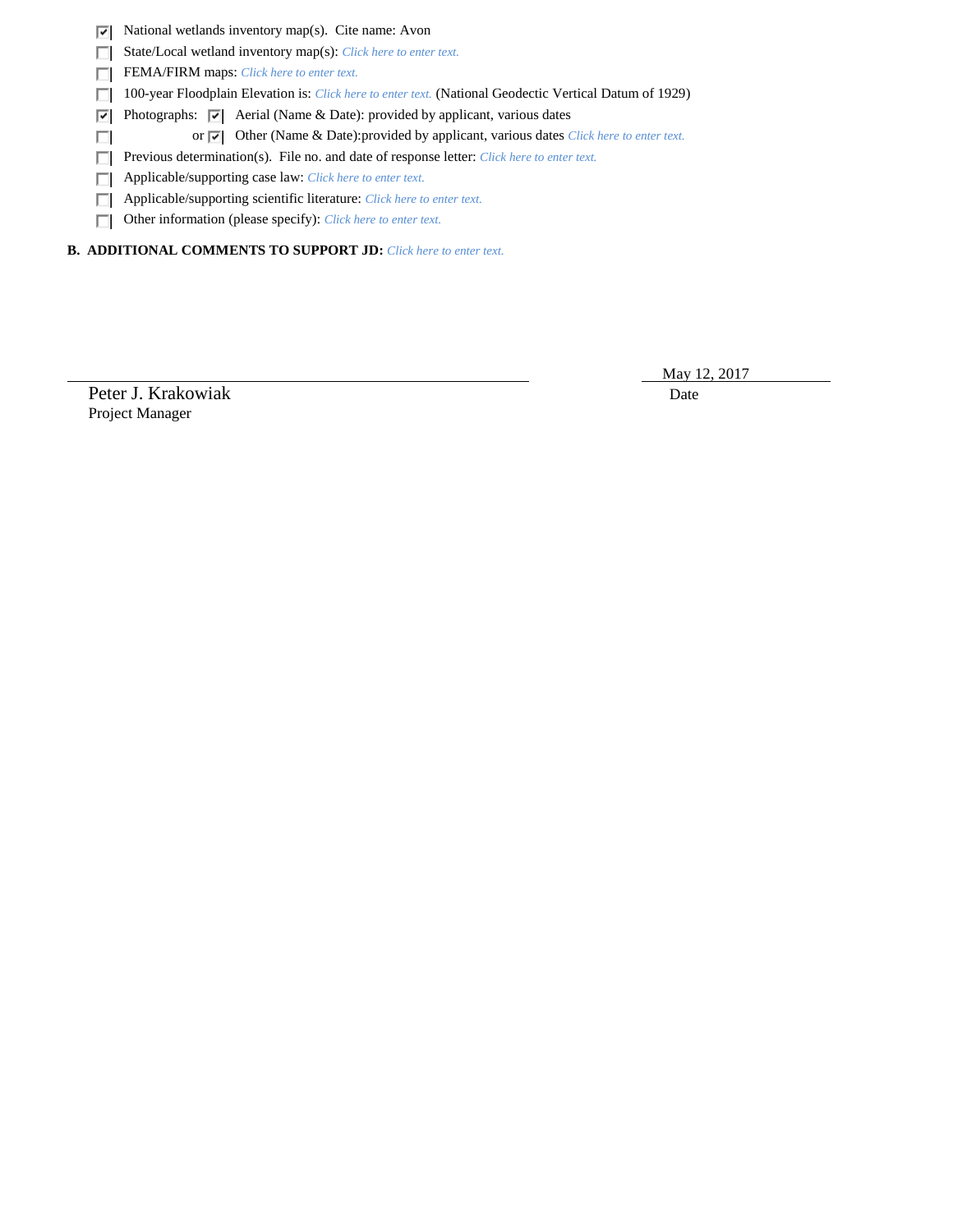$\triangleright$  National wetlands inventory map(s). Cite name: Avon

State/Local wetland inventory map(s): *Click here to enter text.*

FEMA/FIRM maps: *Click here to enter text.* 

100-year Floodplain Elevation is: *Click here to enter text.* (National Geodectic Vertical Datum of 1929)

**Photographs:**  $\boxed{\bullet}$  Aerial (Name & Date): provided by applicant, various dates

or  $\overline{\triangledown}$  Other (Name & Date): provided by applicant, various dates *Click here to enter text.* 

**Previous determination(s). File no. and date of response letter:** *Click here to enter text.* 

Applicable/supporting case law: *Click here to enter text.*

Applicable/supporting scientific literature: *Click here to enter text.*

Other information (please specify): *Click here to enter text.*

**B. ADDITIONAL COMMENTS TO SUPPORT JD:** *Click here to enter text.*

Peter J. Krakowiak Date Project Manager

 $\Box$ 

May 12, 2017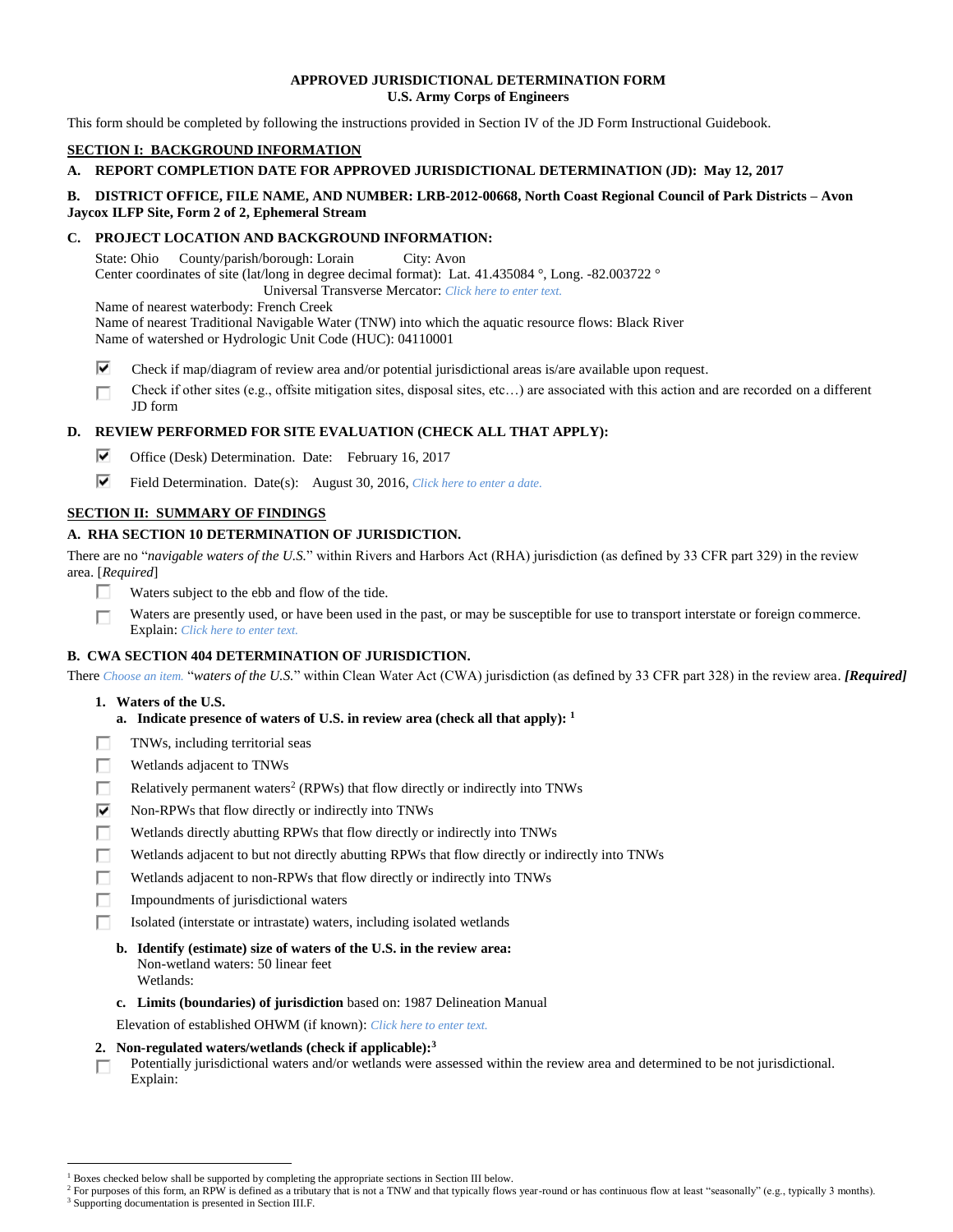## **APPROVED JURISDICTIONAL DETERMINATION FORM U.S. Army Corps of Engineers**

This form should be completed by following the instructions provided in Section IV of the JD Form Instructional Guidebook.

# **SECTION I: BACKGROUND INFORMATION**

# **A. REPORT COMPLETION DATE FOR APPROVED JURISDICTIONAL DETERMINATION (JD): May 12, 2017**

# **B. DISTRICT OFFICE, FILE NAME, AND NUMBER: LRB-2012-00668, North Coast Regional Council of Park Districts – Avon Jaycox ILFP Site, Form 2 of 2, Ephemeral Stream**

# **C. PROJECT LOCATION AND BACKGROUND INFORMATION:**

State: Ohio County/parish/borough: Lorain City: Avon Center coordinates of site (lat/long in degree decimal format): Lat. 41.435084 °, Long. -82.003722 ° Universal Transverse Mercator: *Click here to enter text.*

Name of nearest waterbody: French Creek

Name of nearest Traditional Navigable Water (TNW) into which the aquatic resource flows: Black River Name of watershed or Hydrologic Unit Code (HUC): 04110001

- ⊽ Check if map/diagram of review area and/or potential jurisdictional areas is/are available upon request.
- Check if other sites (e.g., offsite mitigation sites, disposal sites, etc…) are associated with this action and are recorded on a different П JD form

# **D. REVIEW PERFORMED FOR SITE EVALUATION (CHECK ALL THAT APPLY):**

- ⊽ Office (Desk) Determination. Date: February 16, 2017
- ⊽ Field Determination. Date(s): August 30, 2016, *Click here to enter a date.*

# **SECTION II: SUMMARY OF FINDINGS**

# **A. RHA SECTION 10 DETERMINATION OF JURISDICTION.**

There are no "*navigable waters of the U.S.*" within Rivers and Harbors Act (RHA) jurisdiction (as defined by 33 CFR part 329) in the review area. [*Required*]

- П. Waters subject to the ebb and flow of the tide.
- Waters are presently used, or have been used in the past, or may be susceptible for use to transport interstate or foreign commerce. п Explain: *Click here to enter text.*

# **B. CWA SECTION 404 DETERMINATION OF JURISDICTION.**

There *Choose an item.* "*waters of the U.S.*" within Clean Water Act (CWA) jurisdiction (as defined by 33 CFR part 328) in the review area. *[Required]*

**1. Waters of the U.S.**

- **a. Indicate presence of waters of U.S. in review area (check all that apply): 1**
- TNWs, including territorial seas п
- п Wetlands adjacent to TNWs
- П Relatively permanent waters<sup>2</sup> (RPWs) that flow directly or indirectly into TNWs
- ⊽ Non-RPWs that flow directly or indirectly into TNWs
- Wetlands directly abutting RPWs that flow directly or indirectly into TNWs п
- Wetlands adjacent to but not directly abutting RPWs that flow directly or indirectly into TNWs п
- п Wetlands adjacent to non-RPWs that flow directly or indirectly into TNWs
- Impoundments of jurisdictional waters П.
- п Isolated (interstate or intrastate) waters, including isolated wetlands
	- **b. Identify (estimate) size of waters of the U.S. in the review area:** Non-wetland waters: 50 linear feet Wetlands:
	- **c. Limits (boundaries) of jurisdiction** based on: 1987 Delineation Manual
	- Elevation of established OHWM (if known): *Click here to enter text.*
- **2. Non-regulated waters/wetlands (check if applicable): 3**
- Potentially jurisdictional waters and/or wetlands were assessed within the review area and determined to be not jurisdictional. п Explain:

<sup>&</sup>lt;sup>1</sup> Boxes checked below shall be supported by completing the appropriate sections in Section III below.

<sup>&</sup>lt;sup>2</sup> For purposes of this form, an RPW is defined as a tributary that is not a TNW and that typically flows year-round or has continuous flow at least "seasonally" (e.g., typically 3 months). <sup>3</sup> Supporting documentation is presented in Section III.F.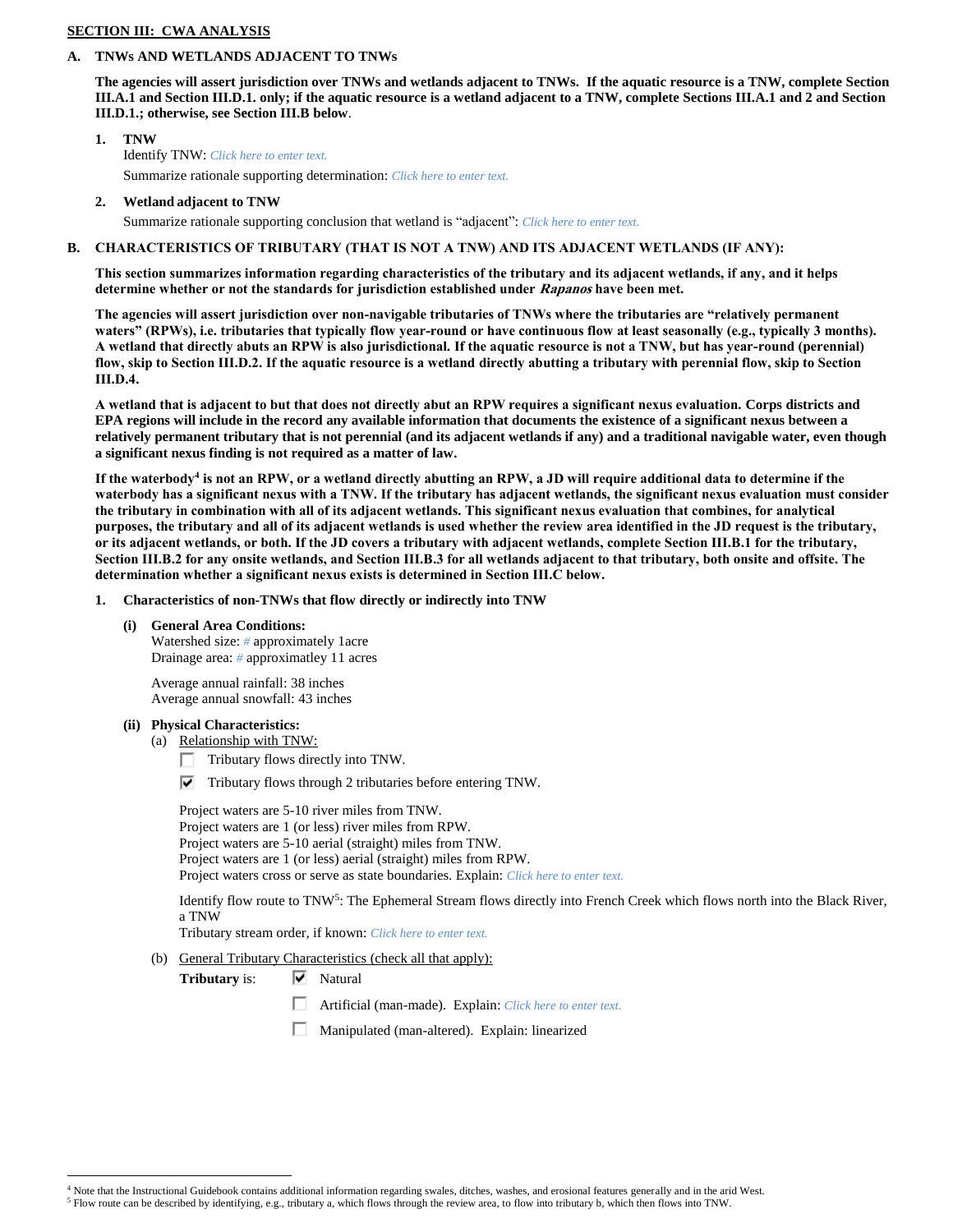## **SECTION III: CWA ANALYSIS**

#### **A. TNWs AND WETLANDS ADJACENT TO TNWs**

**The agencies will assert jurisdiction over TNWs and wetlands adjacent to TNWs. If the aquatic resource is a TNW, complete Section III.A.1 and Section III.D.1. only; if the aquatic resource is a wetland adjacent to a TNW, complete Sections III.A.1 and 2 and Section III.D.1.; otherwise, see Section III.B below**.

- **1. TNW**  Identify TNW: *Click here to enter text.* Summarize rationale supporting determination: *Click here to enter text.*
- **2. Wetland adjacent to TNW**

Summarize rationale supporting conclusion that wetland is "adjacent": *Click here to enter text.*

# **B. CHARACTERISTICS OF TRIBUTARY (THAT IS NOT A TNW) AND ITS ADJACENT WETLANDS (IF ANY):**

**This section summarizes information regarding characteristics of the tributary and its adjacent wetlands, if any, and it helps determine whether or not the standards for jurisdiction established under Rapanos have been met.** 

**The agencies will assert jurisdiction over non-navigable tributaries of TNWs where the tributaries are "relatively permanent waters" (RPWs), i.e. tributaries that typically flow year-round or have continuous flow at least seasonally (e.g., typically 3 months). A wetland that directly abuts an RPW is also jurisdictional. If the aquatic resource is not a TNW, but has year-round (perennial) flow, skip to Section III.D.2. If the aquatic resource is a wetland directly abutting a tributary with perennial flow, skip to Section III.D.4.**

**A wetland that is adjacent to but that does not directly abut an RPW requires a significant nexus evaluation. Corps districts and EPA regions will include in the record any available information that documents the existence of a significant nexus between a relatively permanent tributary that is not perennial (and its adjacent wetlands if any) and a traditional navigable water, even though a significant nexus finding is not required as a matter of law.**

**If the waterbody<sup>4</sup> is not an RPW, or a wetland directly abutting an RPW, a JD will require additional data to determine if the waterbody has a significant nexus with a TNW. If the tributary has adjacent wetlands, the significant nexus evaluation must consider the tributary in combination with all of its adjacent wetlands. This significant nexus evaluation that combines, for analytical purposes, the tributary and all of its adjacent wetlands is used whether the review area identified in the JD request is the tributary, or its adjacent wetlands, or both. If the JD covers a tributary with adjacent wetlands, complete Section III.B.1 for the tributary, Section III.B.2 for any onsite wetlands, and Section III.B.3 for all wetlands adjacent to that tributary, both onsite and offsite. The determination whether a significant nexus exists is determined in Section III.C below.**

- **1. Characteristics of non-TNWs that flow directly or indirectly into TNW**
	- **(i) General Area Conditions:**

Watershed size: *#* approximately 1acre Drainage area: *#* approximatley 11 acres

Average annual rainfall: 38 inches Average annual snowfall: 43 inches

**(ii) Physical Characteristics:**

 $\overline{a}$ 

- (a) Relationship with TNW:
	- Tributary flows directly into TNW.
	- $\nabla$  Tributary flows through 2 tributaries before entering TNW.

Project waters are 5-10 river miles from TNW. Project waters are 1 (or less) river miles from RPW. Project waters are 5-10 aerial (straight) miles from TNW. Project waters are 1 (or less) aerial (straight) miles from RPW. Project waters cross or serve as state boundaries. Explain: *Click here to enter text.*

Identify flow route to TNW<sup>5</sup>: The Ephemeral Stream flows directly into French Creek which flows north into the Black River, a TNW

Tributary stream order, if known: *Click here to enter text.*

(b) General Tributary Characteristics (check all that apply):

**Tributary** is:  $\overline{\triangledown}$  Natural

- Artificial (man-made). Explain: *Click here to enter text.*
- Manipulated (man-altered). Explain: linearized

<sup>4</sup> Note that the Instructional Guidebook contains additional information regarding swales, ditches, washes, and erosional features generally and in the arid West.

<sup>5</sup> Flow route can be described by identifying, e.g., tributary a, which flows through the review area, to flow into tributary b, which then flows into TNW.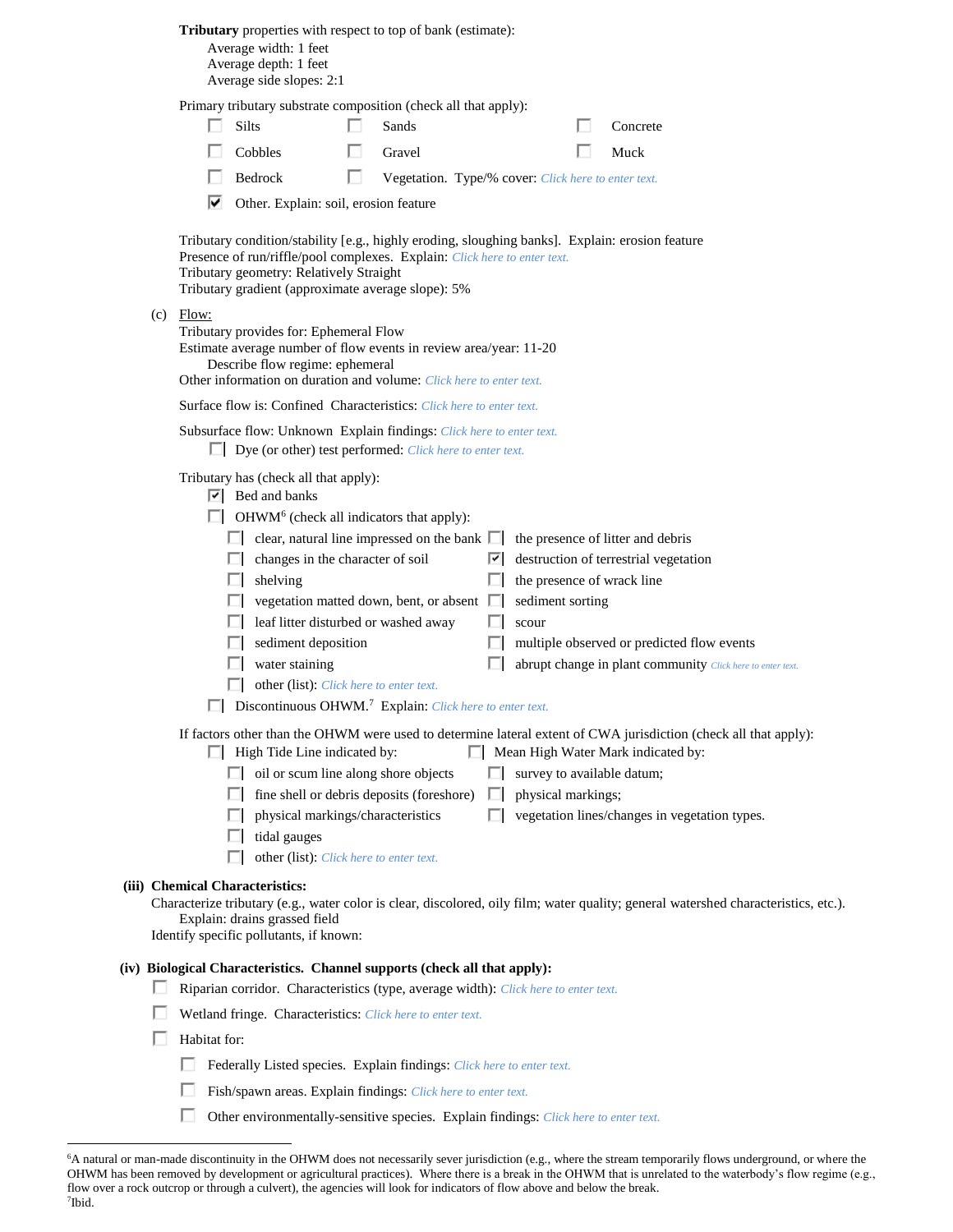|  |  | Tributary properties with respect to top of bank (estimate): |  |  |
|--|--|--------------------------------------------------------------|--|--|
|--|--|--------------------------------------------------------------|--|--|

Average width: 1 feet Average depth: 1 feet Average side slopes: 2:1

Primary tributary substrate composition (check all that apply):

| $\Box$ Silts   | <b>Sands</b>                                               | Concrete    |
|----------------|------------------------------------------------------------|-------------|
| $\Box$ Cobbles | $\blacksquare$ Gravel                                      | $\Box$ Muck |
| $\Box$ Bedrock | <b>Negetation.</b> Type/% cover: Click here to enter text. |             |

Other. Explain: soil, erosion feature

Tributary condition/stability [e.g., highly eroding, sloughing banks]. Explain: erosion feature Presence of run/riffle/pool complexes. Explain: *Click here to enter text.* Tributary geometry: Relatively Straight Tributary gradient (approximate average slope): 5%

(c) Flow:

Tributary provides for: Ephemeral Flow Estimate average number of flow events in review area/year: 11-20 Describe flow regime: ephemeral Other information on duration and volume: *Click here to enter text.*

Surface flow is: Confined Characteristics: *Click here to enter text.*

Subsurface flow: Unknown Explain findings: *Click here to enter text.*

Dye (or other) test performed: *Click here to enter text.*

Tributary has (check all that apply):

 $\overline{\triangledown}$  Bed and banks

OHWM<sup>6</sup> (check all indicators that apply):

|   | clear, natural line impressed on the bank $\Box$ the presence of litter and debris |  |                                                            |  |  |
|---|------------------------------------------------------------------------------------|--|------------------------------------------------------------|--|--|
| Ш | changes in the character of soil                                                   |  | $\vert \cdot \vert$ destruction of terrestrial vegetation  |  |  |
|   | shelving                                                                           |  | the presence of wrack line                                 |  |  |
|   | vegetation matted down, bent, or absent $\Box$                                     |  | sediment sorting                                           |  |  |
|   | $\Box$ leaf litter disturbed or washed away                                        |  | scour                                                      |  |  |
|   | sediment deposition                                                                |  | multiple observed or predicted flow events                 |  |  |
|   | water staining                                                                     |  | abrupt change in plant community Click here to enter text. |  |  |
|   | other (list): Click here to enter text.                                            |  |                                                            |  |  |
|   | Discontinuous OHWM. <sup>7</sup> Explain: Click here to enter text.                |  |                                                            |  |  |

If factors other than the OHWM were used to determine lateral extent of CWA jurisdiction (check all that apply):

- $\Box$  High Tide Line indicated by:  $\Box$  Mean High Water Mark indicated by:
	- oil or scum line along shore objects  $\Box$  survey to available datum;
	- $\Box$  fine shell or debris deposits (foreshore)  $\Box$  physical markings;
	- $\Box$  physical markings/characteristics  $\Box$  vegetation lines/changes in vegetation types.
	- $\Box$  tidal gauges
	- other (list): *Click here to enter text.*

#### **(iii) Chemical Characteristics:**

Characterize tributary (e.g., water color is clear, discolored, oily film; water quality; general watershed characteristics, etc.). Explain: drains grassed field

Identify specific pollutants, if known:

## **(iv) Biological Characteristics. Channel supports (check all that apply):**

- Riparian corridor. Characteristics (type, average width): *Click here to enter text.*
- Wetland fringe. Characteristics: *Click here to enter text.*
- $\Box$  Habitat for:

- Federally Listed species. Explain findings: *Click here to enter text.*
- Fish/spawn areas. Explain findings: *Click here to enter text.*
- П. Other environmentally-sensitive species. Explain findings: *Click here to enter text.*

<sup>&</sup>lt;sup>6</sup>A natural or man-made discontinuity in the OHWM does not necessarily sever jurisdiction (e.g., where the stream temporarily flows underground, or where the OHWM has been removed by development or agricultural practices). Where there is a break in the OHWM that is unrelated to the waterbody's flow regime (e.g., flow over a rock outcrop or through a culvert), the agencies will look for indicators of flow above and below the break. 7 Ibid.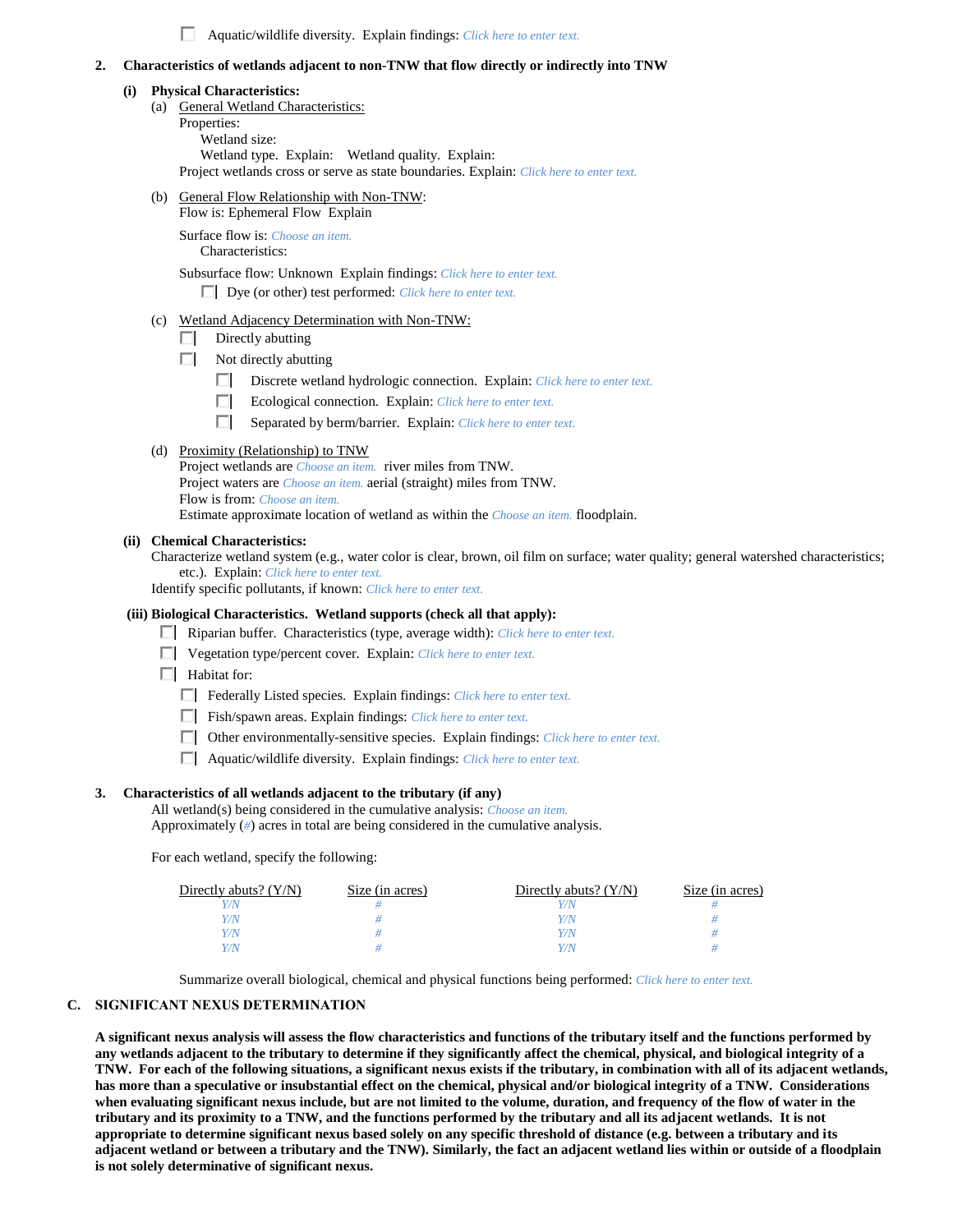Aquatic/wildlife diversity. Explain findings: *Click here to enter text.*

#### **2. Characteristics of wetlands adjacent to non-TNW that flow directly or indirectly into TNW**

#### **(i) Physical Characteristics:**

(a) General Wetland Characteristics: Properties: Wetland size: Wetland type. Explain: Wetland quality. Explain:

Project wetlands cross or serve as state boundaries. Explain: *Click here to enter text.*

(b) General Flow Relationship with Non-TNW:

Flow is: Ephemeral Flow Explain Surface flow is: *Choose an item.*

Characteristics:

Subsurface flow: Unknown Explain findings: *Click here to enter text.* Dye (or other) test performed: *Click here to enter text.*

- (c) Wetland Adjacency Determination with Non-TNW:
	- $\Box$  Directly abutting
	- $\Box$  Not directly abutting
		- Discrete wetland hydrologic connection. Explain: *Click here to enter text.*
		- Ecological connection. Explain: *Click here to enter text.*
		- Separated by berm/barrier. Explain: *Click here to enter text.*
- (d) Proximity (Relationship) to TNW
	- Project wetlands are *Choose an item.* river miles from TNW. Project waters are *Choose an item.* aerial (straight) miles from TNW. Flow is from: *Choose an item.* Estimate approximate location of wetland as within the *Choose an item.* floodplain.

**(ii) Chemical Characteristics:**

Characterize wetland system (e.g., water color is clear, brown, oil film on surface; water quality; general watershed characteristics; etc.). Explain: *Click here to enter text.*

Identify specific pollutants, if known: *Click here to enter text.*

#### **(iii) Biological Characteristics. Wetland supports (check all that apply):**

- Riparian buffer. Characteristics (type, average width): *Click here to enter text.*
- Vegetation type/percent cover. Explain: *Click here to enter text.*

 $\Box$  Habitat for:

- Federally Listed species. Explain findings: *Click here to enter text*.
- Fish/spawn areas. Explain findings: *Click here to enter text.*
- Other environmentally-sensitive species. Explain findings: *Click here to enter text.*
- Aquatic/wildlife diversity. Explain findings: *Click here to enter text.*

#### **3. Characteristics of all wetlands adjacent to the tributary (if any)**

All wetland(s) being considered in the cumulative analysis: *Choose an item.* Approximately (*#*) acres in total are being considered in the cumulative analysis.

For each wetland, specify the following:

| Directly abuts? $(Y/N)$ | Size (in acres) | Directly abuts? $(Y/N)$ | Size (in acres) |
|-------------------------|-----------------|-------------------------|-----------------|
|                         |                 |                         |                 |
|                         |                 | Y / IV                  |                 |
|                         |                 | Y / IV                  |                 |
|                         |                 | 77 N                    |                 |

Summarize overall biological, chemical and physical functions being performed: *Click here to enter text.*

## **C. SIGNIFICANT NEXUS DETERMINATION**

**A significant nexus analysis will assess the flow characteristics and functions of the tributary itself and the functions performed by any wetlands adjacent to the tributary to determine if they significantly affect the chemical, physical, and biological integrity of a TNW. For each of the following situations, a significant nexus exists if the tributary, in combination with all of its adjacent wetlands, has more than a speculative or insubstantial effect on the chemical, physical and/or biological integrity of a TNW. Considerations when evaluating significant nexus include, but are not limited to the volume, duration, and frequency of the flow of water in the tributary and its proximity to a TNW, and the functions performed by the tributary and all its adjacent wetlands. It is not appropriate to determine significant nexus based solely on any specific threshold of distance (e.g. between a tributary and its adjacent wetland or between a tributary and the TNW). Similarly, the fact an adjacent wetland lies within or outside of a floodplain is not solely determinative of significant nexus.**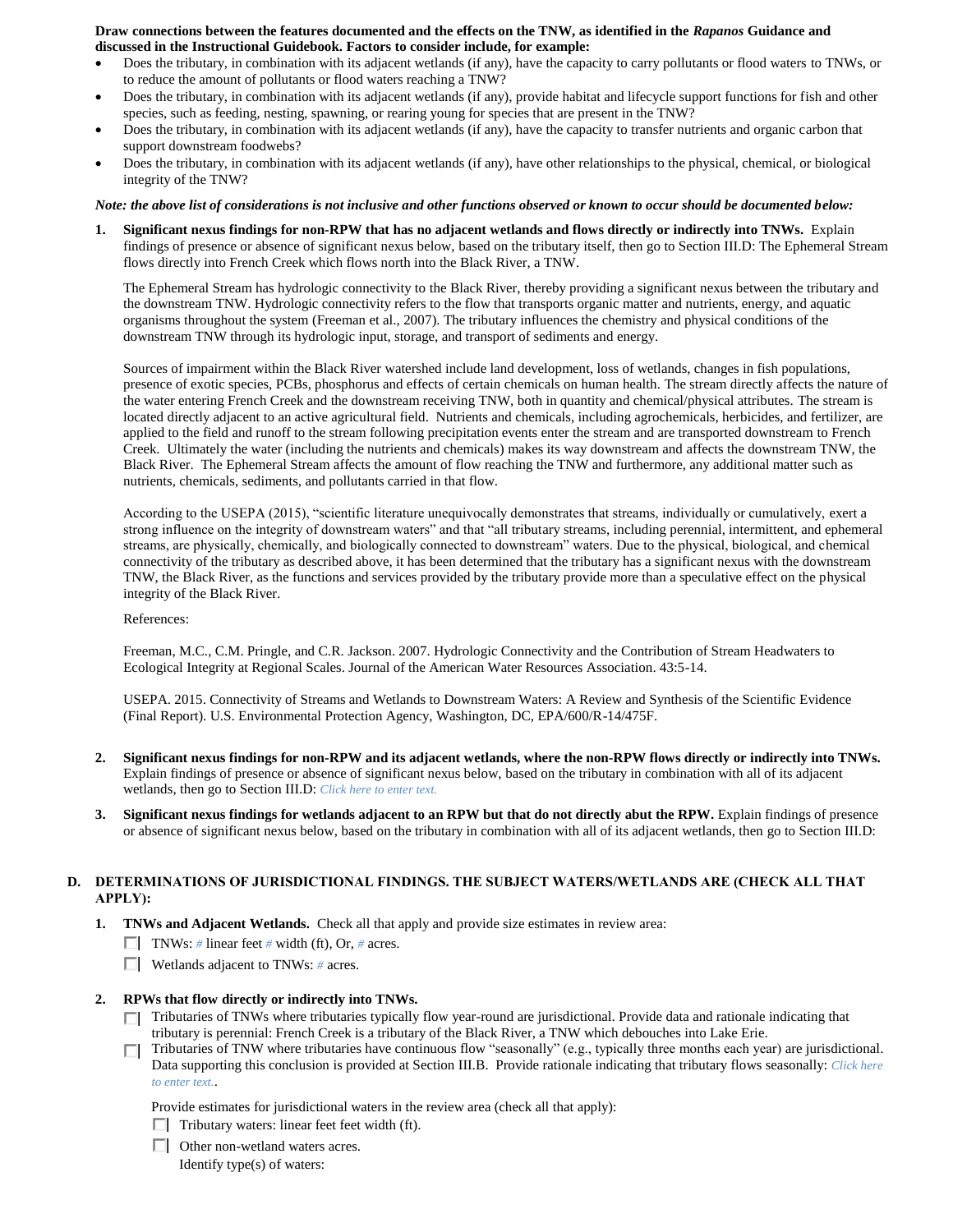#### **Draw connections between the features documented and the effects on the TNW, as identified in the** *Rapanos* **Guidance and discussed in the Instructional Guidebook. Factors to consider include, for example:**

- Does the tributary, in combination with its adjacent wetlands (if any), have the capacity to carry pollutants or flood waters to TNWs, or to reduce the amount of pollutants or flood waters reaching a TNW?
- Does the tributary, in combination with its adjacent wetlands (if any), provide habitat and lifecycle support functions for fish and other species, such as feeding, nesting, spawning, or rearing young for species that are present in the TNW?
- Does the tributary, in combination with its adjacent wetlands (if any), have the capacity to transfer nutrients and organic carbon that support downstream foodwebs?
- Does the tributary, in combination with its adjacent wetlands (if any), have other relationships to the physical, chemical, or biological integrity of the TNW?

*Note: the above list of considerations is not inclusive and other functions observed or known to occur should be documented below:*

**1. Significant nexus findings for non-RPW that has no adjacent wetlands and flows directly or indirectly into TNWs.** Explain findings of presence or absence of significant nexus below, based on the tributary itself, then go to Section III.D: The Ephemeral Stream flows directly into French Creek which flows north into the Black River, a TNW.

The Ephemeral Stream has hydrologic connectivity to the Black River, thereby providing a significant nexus between the tributary and the downstream TNW. Hydrologic connectivity refers to the flow that transports organic matter and nutrients, energy, and aquatic organisms throughout the system (Freeman et al., 2007). The tributary influences the chemistry and physical conditions of the downstream TNW through its hydrologic input, storage, and transport of sediments and energy.

Sources of impairment within the Black River watershed include land development, loss of wetlands, changes in fish populations, presence of exotic species, PCBs, phosphorus and effects of certain chemicals on human health. The stream directly affects the nature of the water entering French Creek and the downstream receiving TNW, both in quantity and chemical/physical attributes. The stream is located directly adjacent to an active agricultural field. Nutrients and chemicals, including agrochemicals, herbicides, and fertilizer, are applied to the field and runoff to the stream following precipitation events enter the stream and are transported downstream to French Creek. Ultimately the water (including the nutrients and chemicals) makes its way downstream and affects the downstream TNW, the Black River. The Ephemeral Stream affects the amount of flow reaching the TNW and furthermore, any additional matter such as nutrients, chemicals, sediments, and pollutants carried in that flow.

According to the USEPA (2015), "scientific literature unequivocally demonstrates that streams, individually or cumulatively, exert a strong influence on the integrity of downstream waters" and that "all tributary streams, including perennial, intermittent, and ephemeral streams, are physically, chemically, and biologically connected to downstream" waters. Due to the physical, biological, and chemical connectivity of the tributary as described above, it has been determined that the tributary has a significant nexus with the downstream TNW, the Black River, as the functions and services provided by the tributary provide more than a speculative effect on the physical integrity of the Black River.

References:

Freeman, M.C., C.M. Pringle, and C.R. Jackson. 2007. Hydrologic Connectivity and the Contribution of Stream Headwaters to Ecological Integrity at Regional Scales. Journal of the American Water Resources Association. 43:5-14.

USEPA. 2015. Connectivity of Streams and Wetlands to Downstream Waters: A Review and Synthesis of the Scientific Evidence (Final Report). U.S. Environmental Protection Agency, Washington, DC, EPA/600/R-14/475F.

- **2. Significant nexus findings for non-RPW and its adjacent wetlands, where the non-RPW flows directly or indirectly into TNWs.**  Explain findings of presence or absence of significant nexus below, based on the tributary in combination with all of its adjacent wetlands, then go to Section III.D: *Click here to enter text.*
- **3. Significant nexus findings for wetlands adjacent to an RPW but that do not directly abut the RPW.** Explain findings of presence or absence of significant nexus below, based on the tributary in combination with all of its adjacent wetlands, then go to Section III.D:

# **D. DETERMINATIONS OF JURISDICTIONAL FINDINGS. THE SUBJECT WATERS/WETLANDS ARE (CHECK ALL THAT APPLY):**

- **1. TNWs and Adjacent Wetlands.** Check all that apply and provide size estimates in review area:
	- $\Box$  TNWs: # linear feet # width (ft), Or, # acres.
	- Wetlands adjacent to TNWs: *#* acres.

#### **2. RPWs that flow directly or indirectly into TNWs.**

- Tributaries of TNWs where tributaries typically flow year-round are jurisdictional. Provide data and rationale indicating that tributary is perennial: French Creek is a tributary of the Black River, a TNW which debouches into Lake Erie.
- Tributaries of TNW where tributaries have continuous flow "seasonally" (e.g., typically three months each year) are jurisdictional. П. Data supporting this conclusion is provided at Section III.B. Provide rationale indicating that tributary flows seasonally: *Click here to enter text.*.

Provide estimates for jurisdictional waters in the review area (check all that apply):

- $\Box$  Tributary waters: linear feet feet width (ft).
- □ Other non-wetland waters acres.

Identify type(s) of waters: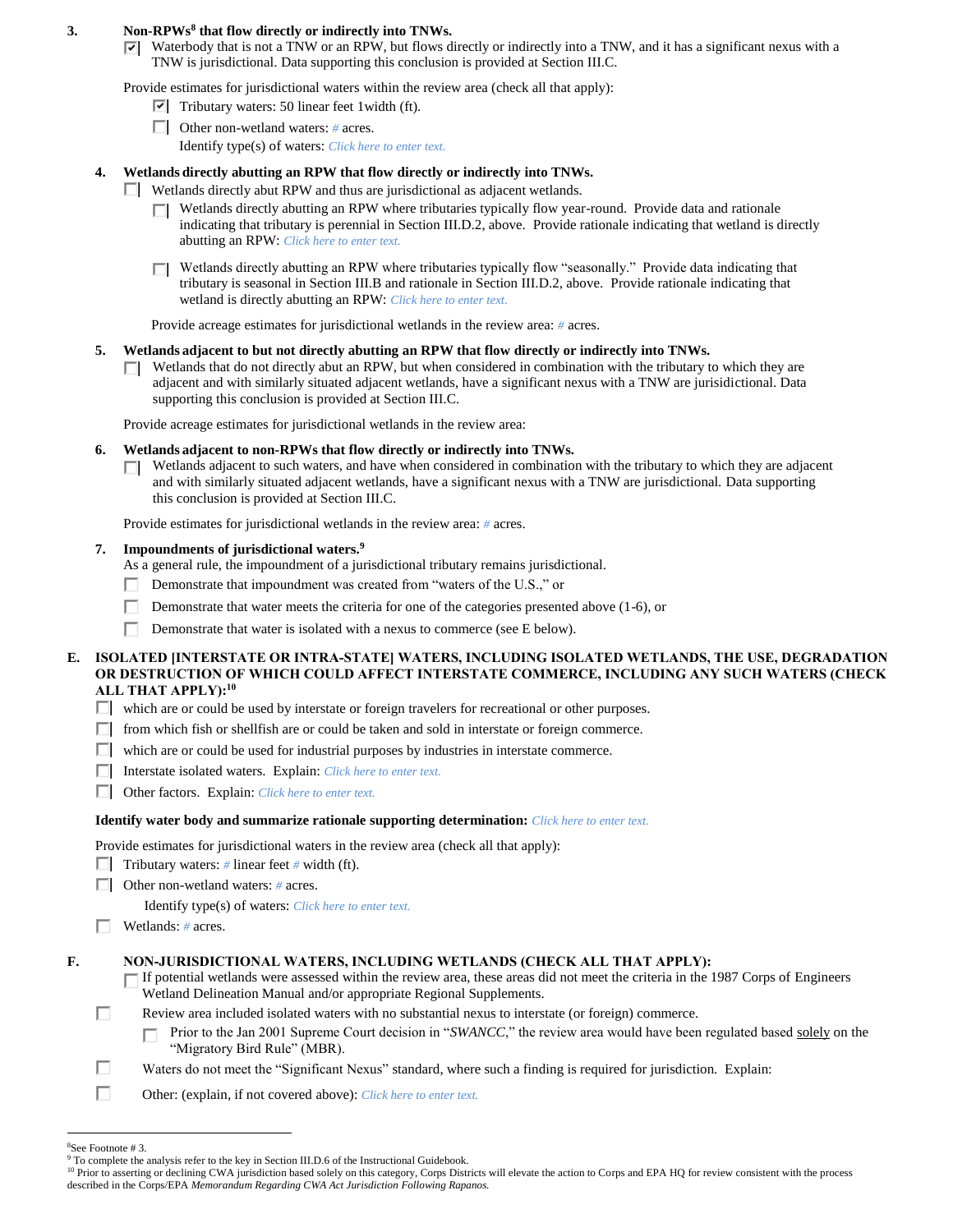## **3. Non-RPWs<sup>8</sup> that flow directly or indirectly into TNWs.**

 $\triangledown$  Waterbody that is not a TNW or an RPW, but flows directly or indirectly into a TNW, and it has a significant nexus with a TNW is jurisdictional. Data supporting this conclusion is provided at Section III.C.

Provide estimates for jurisdictional waters within the review area (check all that apply):

- $\triangledown$  Tributary waters: 50 linear feet 1 width (ft).
- Other non-wetland waters: *#* acres. Identify type(s) of waters: *Click here to enter text.*

## **4. Wetlands directly abutting an RPW that flow directly or indirectly into TNWs.**

- Wetlands directly abut RPW and thus are jurisdictional as adjacent wetlands.
	- Wetlands directly abutting an RPW where tributaries typically flow year-round. Provide data and rationale indicating that tributary is perennial in Section III.D.2, above. Provide rationale indicating that wetland is directly abutting an RPW: *Click here to enter text.*
	- □ Wetlands directly abutting an RPW where tributaries typically flow "seasonally." Provide data indicating that tributary is seasonal in Section III.B and rationale in Section III.D.2, above. Provide rationale indicating that wetland is directly abutting an RPW: *Click here to enter text.*

Provide acreage estimates for jurisdictional wetlands in the review area: *#* acres.

## **5. Wetlands adjacent to but not directly abutting an RPW that flow directly or indirectly into TNWs.**

 $\Box$  Wetlands that do not directly abut an RPW, but when considered in combination with the tributary to which they are adjacent and with similarly situated adjacent wetlands, have a significant nexus with a TNW are jurisidictional. Data supporting this conclusion is provided at Section III.C.

Provide acreage estimates for jurisdictional wetlands in the review area:

## **6. Wetlands adjacent to non-RPWs that flow directly or indirectly into TNWs.**

 $\Box$  Wetlands adjacent to such waters, and have when considered in combination with the tributary to which they are adjacent and with similarly situated adjacent wetlands, have a significant nexus with a TNW are jurisdictional. Data supporting this conclusion is provided at Section III.C.

Provide estimates for jurisdictional wetlands in the review area: *#* acres.

## **7. Impoundments of jurisdictional waters. 9**

As a general rule, the impoundment of a jurisdictional tributary remains jurisdictional.

- Demonstrate that impoundment was created from "waters of the U.S.," or ш
- Г Demonstrate that water meets the criteria for one of the categories presented above (1-6), or
- п Demonstrate that water is isolated with a nexus to commerce (see E below).

### **E. ISOLATED [INTERSTATE OR INTRA-STATE] WATERS, INCLUDING ISOLATED WETLANDS, THE USE, DEGRADATION OR DESTRUCTION OF WHICH COULD AFFECT INTERSTATE COMMERCE, INCLUDING ANY SUCH WATERS (CHECK ALL THAT APPLY):<sup>10</sup>**

 $\Box$  which are or could be used by interstate or foreign travelers for recreational or other purposes.

- $\Box$  from which fish or shellfish are or could be taken and sold in interstate or foreign commerce.
- which are or could be used for industrial purposes by industries in interstate commerce.
- Interstate isolated waters.Explain: *Click here to enter text.*
- Other factors.Explain: *Click here to enter text.*

#### **Identify water body and summarize rationale supporting determination:** *Click here to enter text.*

Provide estimates for jurisdictional waters in the review area (check all that apply):

Tributary waters:  $\#$  linear feet  $\#$  width (ft).

Other non-wetland waters: *#* acres.

Identify type(s) of waters: *Click here to enter text.*

Wetlands: *#* acres.

# **F. NON-JURISDICTIONAL WATERS, INCLUDING WETLANDS (CHECK ALL THAT APPLY):**

If potential wetlands were assessed within the review area, these areas did not meet the criteria in the 1987 Corps of Engineers Wetland Delineation Manual and/or appropriate Regional Supplements.

- Review area included isolated waters with no substantial nexus to interstate (or foreign) commerce.
	- Prior to the Jan 2001 Supreme Court decision in "*SWANCC*," the review area would have been regulated based solely on the П "Migratory Bird Rule" (MBR).
- П Waters do not meet the "Significant Nexus" standard, where such a finding is required for jurisdiction. Explain:
- П Other: (explain, if not covered above): *Click here to enter text.*
- $\overline{a}$ <sup>8</sup>See Footnote # 3.

п

<sup>&</sup>lt;sup>9</sup> To complete the analysis refer to the key in Section III.D.6 of the Instructional Guidebook.

<sup>&</sup>lt;sup>10</sup> Prior to asserting or declining CWA jurisdiction based solely on this category, Corps Districts will elevate the action to Corps and EPA HQ for review consistent with the process described in the Corps/EPA *Memorandum Regarding CWA Act Jurisdiction Following Rapanos.*